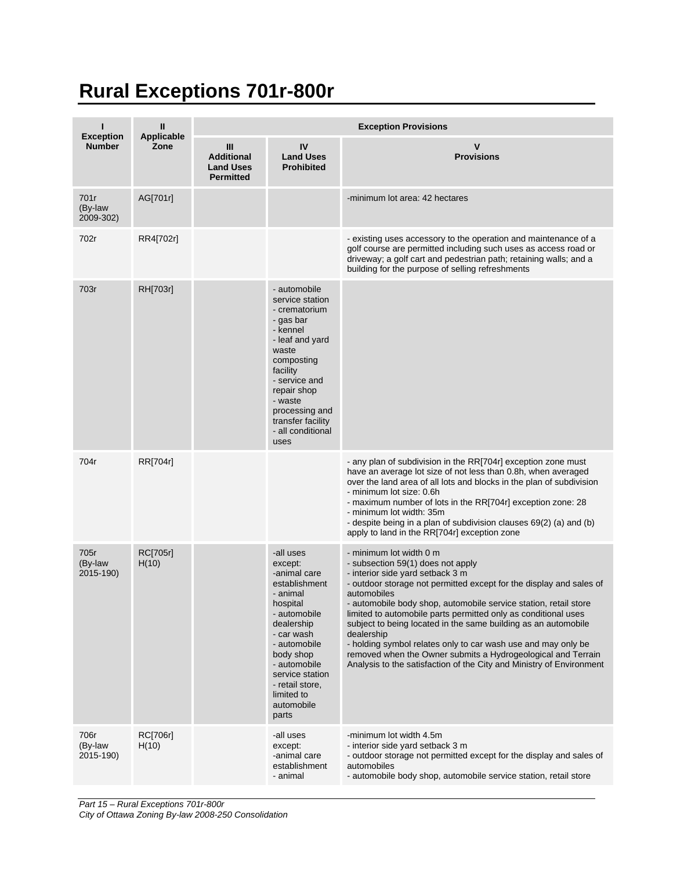## **Rural Exceptions 701r-800r**

|                                   | $\mathbf{I}$              | <b>Exception Provisions</b>                                    |                                                                                                                                                                                                                                                   |                                                                                                                                                                                                                                                                                                                                                                                                                                                                                                                                                                                                                       |  |  |
|-----------------------------------|---------------------------|----------------------------------------------------------------|---------------------------------------------------------------------------------------------------------------------------------------------------------------------------------------------------------------------------------------------------|-----------------------------------------------------------------------------------------------------------------------------------------------------------------------------------------------------------------------------------------------------------------------------------------------------------------------------------------------------------------------------------------------------------------------------------------------------------------------------------------------------------------------------------------------------------------------------------------------------------------------|--|--|
| <b>Exception</b><br><b>Number</b> | <b>Applicable</b><br>Zone | Ш<br><b>Additional</b><br><b>Land Uses</b><br><b>Permitted</b> | IV<br><b>Land Uses</b><br><b>Prohibited</b>                                                                                                                                                                                                       | $\mathsf{V}$<br><b>Provisions</b>                                                                                                                                                                                                                                                                                                                                                                                                                                                                                                                                                                                     |  |  |
| 701r<br>(By-law<br>2009-302)      | AG[701r]                  |                                                                |                                                                                                                                                                                                                                                   | -minimum lot area: 42 hectares                                                                                                                                                                                                                                                                                                                                                                                                                                                                                                                                                                                        |  |  |
| 702r                              | RR4[702r]                 |                                                                |                                                                                                                                                                                                                                                   | - existing uses accessory to the operation and maintenance of a<br>golf course are permitted including such uses as access road or<br>driveway; a golf cart and pedestrian path; retaining walls; and a<br>building for the purpose of selling refreshments                                                                                                                                                                                                                                                                                                                                                           |  |  |
| 703r                              | RH[703r]                  |                                                                | - automobile<br>service station<br>- crematorium<br>- gas bar<br>- kennel<br>- leaf and yard<br>waste<br>composting<br>facility<br>- service and<br>repair shop<br>- waste<br>processing and<br>transfer facility<br>- all conditional<br>uses    |                                                                                                                                                                                                                                                                                                                                                                                                                                                                                                                                                                                                                       |  |  |
| 704r                              | RR[704r]                  |                                                                |                                                                                                                                                                                                                                                   | - any plan of subdivision in the RR[704r] exception zone must<br>have an average lot size of not less than 0.8h, when averaged<br>over the land area of all lots and blocks in the plan of subdivision<br>- minimum lot size: 0.6h<br>- maximum number of lots in the RR[704r] exception zone: 28<br>- minimum lot width: 35m<br>- despite being in a plan of subdivision clauses 69(2) (a) and (b)<br>apply to land in the RR[704r] exception zone                                                                                                                                                                   |  |  |
| 705r<br>(By-law<br>2015-190)      | <b>RC[705r]</b><br>H(10)  |                                                                | -all uses<br>except:<br>-animal care<br>establishment<br>- animal<br>hospital<br>- automobile<br>dealership<br>- car wash<br>- automobile<br>body shop<br>- automobile<br>service station<br>- retail store,<br>limited to<br>automobile<br>parts | - minimum lot width 0 m<br>- subsection 59(1) does not apply<br>- interior side yard setback 3 m<br>- outdoor storage not permitted except for the display and sales of<br>automobiles<br>- automobile body shop, automobile service station, retail store<br>limited to automobile parts permitted only as conditional uses<br>subject to being located in the same building as an automobile<br>dealership<br>- holding symbol relates only to car wash use and may only be<br>removed when the Owner submits a Hydrogeological and Terrain<br>Analysis to the satisfaction of the City and Ministry of Environment |  |  |
| 706r<br>(By-law<br>2015-190)      | <b>RC[706r]</b><br>H(10)  |                                                                | -all uses<br>except:<br>-animal care<br>establishment<br>- animal                                                                                                                                                                                 | -minimum lot width 4.5m<br>- interior side yard setback 3 m<br>- outdoor storage not permitted except for the display and sales of<br>automobiles<br>- automobile body shop, automobile service station, retail store                                                                                                                                                                                                                                                                                                                                                                                                 |  |  |

*Part 15 – Rural Exceptions 701r-800r*

*City of Ottawa Zoning By-law 2008-250 Consolidation*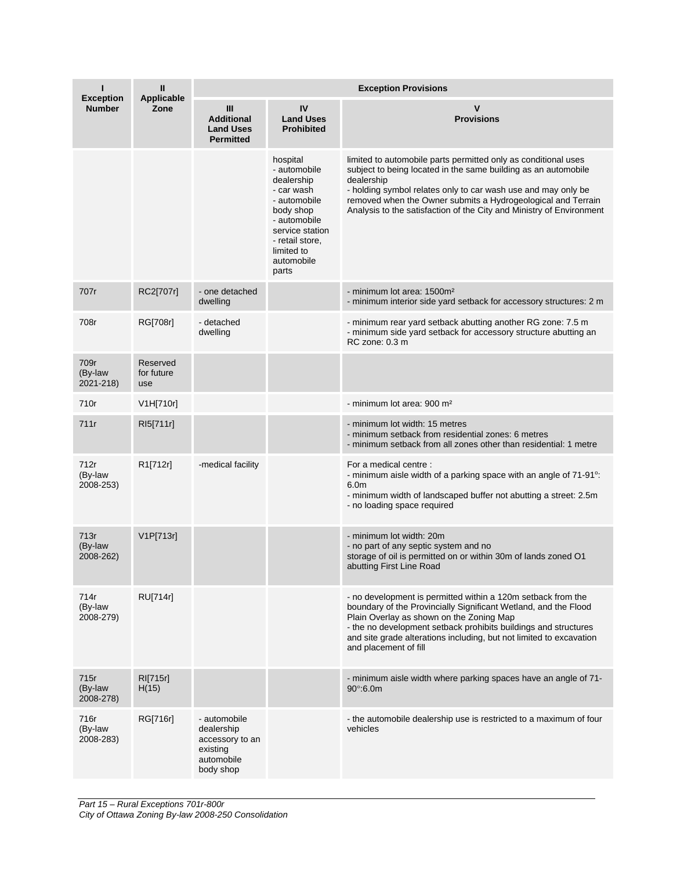| ı<br><b>Exception</b>        | $\mathbf{I}$<br><b>Applicable</b> | <b>Exception Provisions</b>                                                          |                                                                                                                                                                              |                                                                                                                                                                                                                                                                                                                                                         |  |  |
|------------------------------|-----------------------------------|--------------------------------------------------------------------------------------|------------------------------------------------------------------------------------------------------------------------------------------------------------------------------|---------------------------------------------------------------------------------------------------------------------------------------------------------------------------------------------------------------------------------------------------------------------------------------------------------------------------------------------------------|--|--|
| <b>Number</b>                | Zone                              | III<br><b>Additional</b><br><b>Land Uses</b><br><b>Permitted</b>                     | IV<br><b>Land Uses</b><br><b>Prohibited</b>                                                                                                                                  | v<br><b>Provisions</b>                                                                                                                                                                                                                                                                                                                                  |  |  |
|                              |                                   |                                                                                      | hospital<br>- automobile<br>dealership<br>- car wash<br>- automobile<br>body shop<br>- automobile<br>service station<br>- retail store,<br>limited to<br>automobile<br>parts | limited to automobile parts permitted only as conditional uses<br>subject to being located in the same building as an automobile<br>dealership<br>- holding symbol relates only to car wash use and may only be<br>removed when the Owner submits a Hydrogeological and Terrain<br>Analysis to the satisfaction of the City and Ministry of Environment |  |  |
| 707r                         | RC2[707r]                         | - one detached<br>dwelling                                                           |                                                                                                                                                                              | - minimum lot area: 1500m <sup>2</sup><br>- minimum interior side yard setback for accessory structures: 2 m                                                                                                                                                                                                                                            |  |  |
| 708r                         | RG[708r]                          | - detached<br>dwelling                                                               |                                                                                                                                                                              | - minimum rear yard setback abutting another RG zone: 7.5 m<br>- minimum side yard setback for accessory structure abutting an<br>RC zone: 0.3 m                                                                                                                                                                                                        |  |  |
| 709r<br>(By-law<br>2021-218) | Reserved<br>for future<br>use     |                                                                                      |                                                                                                                                                                              |                                                                                                                                                                                                                                                                                                                                                         |  |  |
| 710r                         | V1H[710r]                         |                                                                                      |                                                                                                                                                                              | - minimum lot area: 900 m <sup>2</sup>                                                                                                                                                                                                                                                                                                                  |  |  |
| 711r                         | RI5[711r]                         |                                                                                      |                                                                                                                                                                              | - minimum lot width: 15 metres<br>- minimum setback from residential zones: 6 metres<br>- minimum setback from all zones other than residential: 1 metre                                                                                                                                                                                                |  |  |
| 712r<br>(By-law<br>2008-253) | R1[712r]                          | -medical facility                                                                    |                                                                                                                                                                              | For a medical centre :<br>- minimum aisle width of a parking space with an angle of 71-91°.<br>6.0 <sub>m</sub><br>- minimum width of landscaped buffer not abutting a street: 2.5m<br>- no loading space required                                                                                                                                      |  |  |
| 713r<br>(By-law<br>2008-262) | V1P[713r]                         |                                                                                      |                                                                                                                                                                              | - minimum lot width: 20m<br>- no part of any septic system and no<br>storage of oil is permitted on or within 30m of lands zoned O1<br>abutting First Line Road                                                                                                                                                                                         |  |  |
| 714r<br>(By-law<br>2008-279) | <b>RU[714r]</b>                   |                                                                                      |                                                                                                                                                                              | - no development is permitted within a 120m setback from the<br>boundary of the Provincially Significant Wetland, and the Flood<br>Plain Overlay as shown on the Zoning Map<br>- the no development setback prohibits buildings and structures<br>and site grade alterations including, but not limited to excavation<br>and placement of fill          |  |  |
| 715r<br>(By-law<br>2008-278) | <b>RI[715r]</b><br>H(15)          |                                                                                      |                                                                                                                                                                              | - minimum aisle width where parking spaces have an angle of 71-<br>$90^{\circ}$ :6.0m                                                                                                                                                                                                                                                                   |  |  |
| 716r<br>(By-law<br>2008-283) | RG[716r]                          | - automobile<br>dealership<br>accessory to an<br>existing<br>automobile<br>body shop |                                                                                                                                                                              | - the automobile dealership use is restricted to a maximum of four<br>vehicles                                                                                                                                                                                                                                                                          |  |  |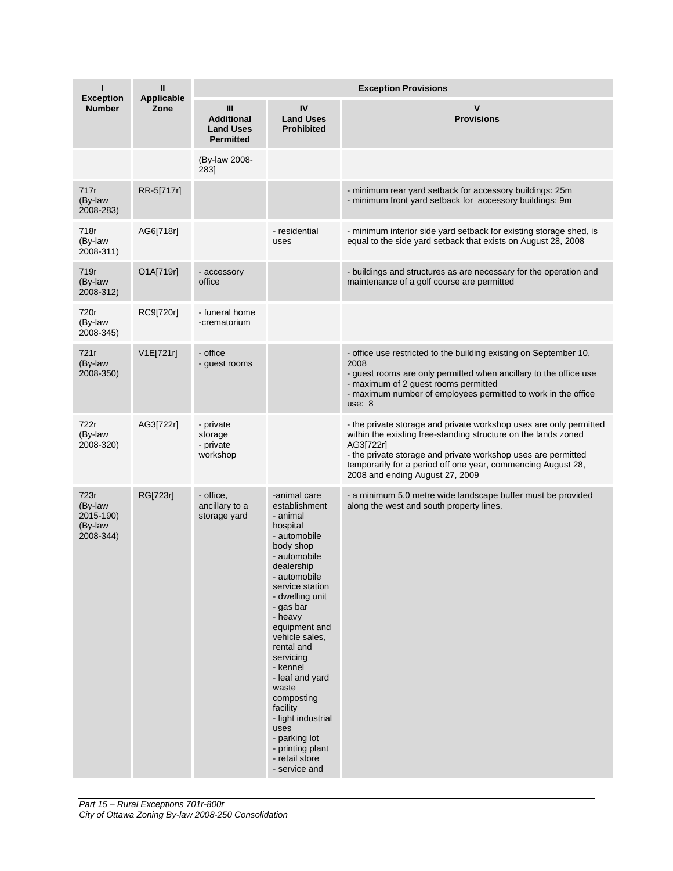| ı                                                    | Ш<br><b>Applicable</b> | <b>Exception Provisions</b>                                                 |                                                                                                                                                                                                                                                                                                                                                                                                                                      |                                                                                                                                                                                                                                                                                                                       |  |
|------------------------------------------------------|------------------------|-----------------------------------------------------------------------------|--------------------------------------------------------------------------------------------------------------------------------------------------------------------------------------------------------------------------------------------------------------------------------------------------------------------------------------------------------------------------------------------------------------------------------------|-----------------------------------------------------------------------------------------------------------------------------------------------------------------------------------------------------------------------------------------------------------------------------------------------------------------------|--|
| <b>Exception</b><br><b>Number</b>                    | Zone                   | $\mathbf{III}$<br><b>Additional</b><br><b>Land Uses</b><br><b>Permitted</b> | IV<br><b>Land Uses</b><br><b>Prohibited</b>                                                                                                                                                                                                                                                                                                                                                                                          | v<br><b>Provisions</b>                                                                                                                                                                                                                                                                                                |  |
|                                                      |                        | (By-law 2008-<br>283]                                                       |                                                                                                                                                                                                                                                                                                                                                                                                                                      |                                                                                                                                                                                                                                                                                                                       |  |
| 717r<br>(By-law<br>2008-283)                         | RR-5[717r]             |                                                                             |                                                                                                                                                                                                                                                                                                                                                                                                                                      | - minimum rear yard setback for accessory buildings: 25m<br>- minimum front yard setback for accessory buildings: 9m                                                                                                                                                                                                  |  |
| 718r<br>(By-law<br>2008-311)                         | AG6[718r]              |                                                                             | - residential<br>uses                                                                                                                                                                                                                                                                                                                                                                                                                | - minimum interior side yard setback for existing storage shed, is<br>equal to the side yard setback that exists on August 28, 2008                                                                                                                                                                                   |  |
| 719r<br>(By-law<br>2008-312)                         | O1A[719r]              | - accessory<br>office                                                       |                                                                                                                                                                                                                                                                                                                                                                                                                                      | - buildings and structures as are necessary for the operation and<br>maintenance of a golf course are permitted                                                                                                                                                                                                       |  |
| 720r<br>(By-law<br>2008-345)                         | RC9[720r]              | - funeral home<br>-crematorium                                              |                                                                                                                                                                                                                                                                                                                                                                                                                                      |                                                                                                                                                                                                                                                                                                                       |  |
| 721r<br>(By-law<br>2008-350)                         | V1E[721r]              | - office<br>- guest rooms                                                   |                                                                                                                                                                                                                                                                                                                                                                                                                                      | - office use restricted to the building existing on September 10,<br>2008<br>- guest rooms are only permitted when ancillary to the office use<br>- maximum of 2 quest rooms permitted<br>- maximum number of employees permitted to work in the office<br>use: 8                                                     |  |
| 722r<br>(By-law<br>2008-320)                         | AG3[722r]              | - private<br>storage<br>- private<br>workshop                               |                                                                                                                                                                                                                                                                                                                                                                                                                                      | - the private storage and private workshop uses are only permitted<br>within the existing free-standing structure on the lands zoned<br>AG3[722r]<br>- the private storage and private workshop uses are permitted<br>temporarily for a period off one year, commencing August 28,<br>2008 and ending August 27, 2009 |  |
| 723r<br>(By-law<br>2015-190)<br>(By-law<br>2008-344) | RG[723r]               | - office,<br>ancillary to a<br>storage yard                                 | -animal care<br>establishment<br>- animal<br>hospital<br>- automobile<br>body shop<br>- automobile<br>dealership<br>- automobile<br>service station<br>- dwelling unit<br>- gas bar<br>- heavy<br>equipment and<br>vehicle sales,<br>rental and<br>servicing<br>- kennel<br>- leaf and yard<br>waste<br>composting<br>facility<br>- light industrial<br>uses<br>- parking lot<br>- printing plant<br>- retail store<br>- service and | - a minimum 5.0 metre wide landscape buffer must be provided<br>along the west and south property lines.                                                                                                                                                                                                              |  |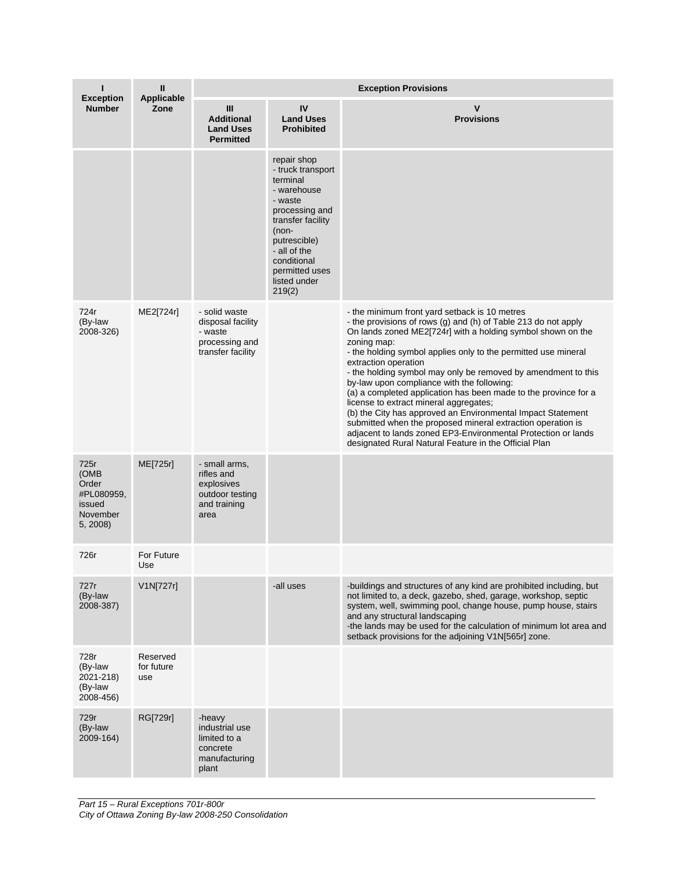| п                                                                     | $\mathbf{I}$                  | <b>Exception Provisions</b>                                                          |                                                                                                                                                                                                                     |                                                                                                                                                                                                                                                                                                                                                                                                                                                                                                                                                                                                                                                                                                                                                                             |  |
|-----------------------------------------------------------------------|-------------------------------|--------------------------------------------------------------------------------------|---------------------------------------------------------------------------------------------------------------------------------------------------------------------------------------------------------------------|-----------------------------------------------------------------------------------------------------------------------------------------------------------------------------------------------------------------------------------------------------------------------------------------------------------------------------------------------------------------------------------------------------------------------------------------------------------------------------------------------------------------------------------------------------------------------------------------------------------------------------------------------------------------------------------------------------------------------------------------------------------------------------|--|
| <b>Exception</b><br><b>Number</b>                                     | Applicable<br>Zone            | Ш<br><b>Additional</b><br><b>Land Uses</b><br><b>Permitted</b>                       | IV<br><b>Land Uses</b><br><b>Prohibited</b>                                                                                                                                                                         | v<br><b>Provisions</b>                                                                                                                                                                                                                                                                                                                                                                                                                                                                                                                                                                                                                                                                                                                                                      |  |
|                                                                       |                               |                                                                                      | repair shop<br>- truck transport<br>terminal<br>- warehouse<br>- waste<br>processing and<br>transfer facility<br>$(non-$<br>putrescible)<br>- all of the<br>conditional<br>permitted uses<br>listed under<br>219(2) |                                                                                                                                                                                                                                                                                                                                                                                                                                                                                                                                                                                                                                                                                                                                                                             |  |
| 724r<br>(By-law<br>2008-326)                                          | ME2[724r]                     | - solid waste<br>disposal facility<br>- waste<br>processing and<br>transfer facility |                                                                                                                                                                                                                     | - the minimum front yard setback is 10 metres<br>- the provisions of rows (g) and (h) of Table 213 do not apply<br>On lands zoned ME2[724r] with a holding symbol shown on the<br>zoning map:<br>- the holding symbol applies only to the permitted use mineral<br>extraction operation<br>- the holding symbol may only be removed by amendment to this<br>by-law upon compliance with the following:<br>(a) a completed application has been made to the province for a<br>license to extract mineral aggregates;<br>(b) the City has approved an Environmental Impact Statement<br>submitted when the proposed mineral extraction operation is<br>adjacent to lands zoned EP3-Environmental Protection or lands<br>designated Rural Natural Feature in the Official Plan |  |
| 725r<br>(OMB<br>Order<br>#PL080959,<br>issued<br>November<br>5, 2008) | ME[725r]                      | - small arms,<br>rifles and<br>explosives<br>outdoor testing<br>and training<br>area |                                                                                                                                                                                                                     |                                                                                                                                                                                                                                                                                                                                                                                                                                                                                                                                                                                                                                                                                                                                                                             |  |
| 726r                                                                  | For Future<br>Use             |                                                                                      |                                                                                                                                                                                                                     |                                                                                                                                                                                                                                                                                                                                                                                                                                                                                                                                                                                                                                                                                                                                                                             |  |
| 727r<br>(By-law<br>2008-387)                                          | V1N[727r]                     |                                                                                      | -all uses                                                                                                                                                                                                           | -buildings and structures of any kind are prohibited including, but<br>not limited to, a deck, gazebo, shed, garage, workshop, septic<br>system, well, swimming pool, change house, pump house, stairs<br>and any structural landscaping<br>-the lands may be used for the calculation of minimum lot area and<br>setback provisions for the adjoining V1N[565r] zone.                                                                                                                                                                                                                                                                                                                                                                                                      |  |
| 728r<br>(By-law<br>2021-218)<br>(By-law<br>2008-456)                  | Reserved<br>for future<br>use |                                                                                      |                                                                                                                                                                                                                     |                                                                                                                                                                                                                                                                                                                                                                                                                                                                                                                                                                                                                                                                                                                                                                             |  |
| 729r<br>(By-law<br>2009-164)                                          | RG[729r]                      | -heavy<br>industrial use<br>limited to a<br>concrete<br>manufacturing<br>plant       |                                                                                                                                                                                                                     |                                                                                                                                                                                                                                                                                                                                                                                                                                                                                                                                                                                                                                                                                                                                                                             |  |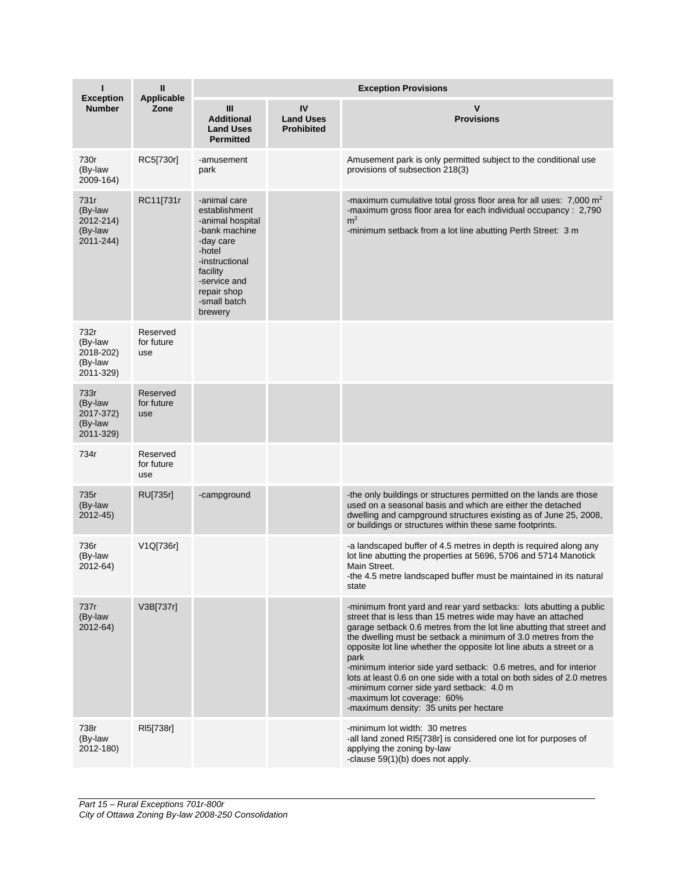| п                                                    | $\mathbf{I}$<br><b>Applicable</b> | <b>Exception Provisions</b>                                                                                                                                                       |                                             |                                                                                                                                                                                                                                                                                                                                                                                                                                                                                                                                                                                                                               |  |  |
|------------------------------------------------------|-----------------------------------|-----------------------------------------------------------------------------------------------------------------------------------------------------------------------------------|---------------------------------------------|-------------------------------------------------------------------------------------------------------------------------------------------------------------------------------------------------------------------------------------------------------------------------------------------------------------------------------------------------------------------------------------------------------------------------------------------------------------------------------------------------------------------------------------------------------------------------------------------------------------------------------|--|--|
| <b>Exception</b><br><b>Number</b>                    | Zone                              | III<br><b>Additional</b><br><b>Land Uses</b><br><b>Permitted</b>                                                                                                                  | IV<br><b>Land Uses</b><br><b>Prohibited</b> | v<br><b>Provisions</b>                                                                                                                                                                                                                                                                                                                                                                                                                                                                                                                                                                                                        |  |  |
| 730r<br>(By-law<br>2009-164)                         | RC5[730r]                         | -amusement<br>park                                                                                                                                                                |                                             | Amusement park is only permitted subject to the conditional use<br>provisions of subsection 218(3)                                                                                                                                                                                                                                                                                                                                                                                                                                                                                                                            |  |  |
| 731r<br>(By-law<br>2012-214)<br>(By-law<br>2011-244) | RC11[731r                         | -animal care<br>establishment<br>-animal hospital<br>-bank machine<br>-day care<br>-hotel<br>-instructional<br>facility<br>-service and<br>repair shop<br>-small batch<br>brewery |                                             | -maximum cumulative total gross floor area for all uses: 7,000 m <sup>2</sup><br>-maximum gross floor area for each individual occupancy: 2,790<br>m <sup>2</sup><br>-minimum setback from a lot line abutting Perth Street: 3 m                                                                                                                                                                                                                                                                                                                                                                                              |  |  |
| 732r<br>(By-law<br>2018-202)<br>(By-law<br>2011-329) | Reserved<br>for future<br>use     |                                                                                                                                                                                   |                                             |                                                                                                                                                                                                                                                                                                                                                                                                                                                                                                                                                                                                                               |  |  |
| 733r<br>(By-law<br>2017-372)<br>(By-law<br>2011-329) | Reserved<br>for future<br>use     |                                                                                                                                                                                   |                                             |                                                                                                                                                                                                                                                                                                                                                                                                                                                                                                                                                                                                                               |  |  |
| 734r                                                 | Reserved<br>for future<br>use     |                                                                                                                                                                                   |                                             |                                                                                                                                                                                                                                                                                                                                                                                                                                                                                                                                                                                                                               |  |  |
| 735r<br>(By-law<br>2012-45)                          | RU[735r]                          | -campground                                                                                                                                                                       |                                             | -the only buildings or structures permitted on the lands are those<br>used on a seasonal basis and which are either the detached<br>dwelling and campground structures existing as of June 25, 2008,<br>or buildings or structures within these same footprints.                                                                                                                                                                                                                                                                                                                                                              |  |  |
| 736r<br>(By-law<br>2012-64)                          | V1Q[736r]                         |                                                                                                                                                                                   |                                             | -a landscaped buffer of 4.5 metres in depth is required along any<br>lot line abutting the properties at 5696, 5706 and 5714 Manotick<br>Main Street.<br>-the 4.5 metre landscaped buffer must be maintained in its natural<br>state                                                                                                                                                                                                                                                                                                                                                                                          |  |  |
| 737r<br>(By-law<br>2012-64)                          | V3B[737r]                         |                                                                                                                                                                                   |                                             | -minimum front yard and rear yard setbacks: lots abutting a public<br>street that is less than 15 metres wide may have an attached<br>garage setback 0.6 metres from the lot line abutting that street and<br>the dwelling must be setback a minimum of 3.0 metres from the<br>opposite lot line whether the opposite lot line abuts a street or a<br>park<br>-minimum interior side yard setback: 0.6 metres, and for interior<br>lots at least 0.6 on one side with a total on both sides of 2.0 metres<br>-minimum corner side yard setback: 4.0 m<br>-maximum lot coverage: 60%<br>-maximum density: 35 units per hectare |  |  |
| 738r<br>(By-law<br>2012-180)                         | RI5[738r]                         |                                                                                                                                                                                   |                                             | -minimum lot width: 30 metres<br>-all land zoned RI5[738r] is considered one lot for purposes of<br>applying the zoning by-law<br>-clause 59(1)(b) does not apply.                                                                                                                                                                                                                                                                                                                                                                                                                                                            |  |  |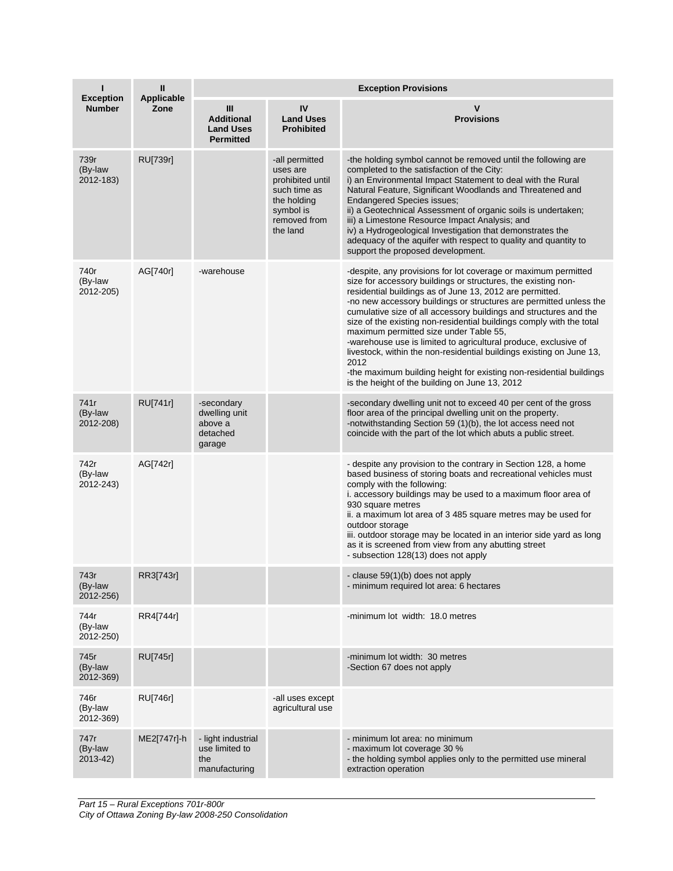| п<br><b>Exception</b>        | $\mathbf{I}$<br><b>Applicable</b> | <b>Exception Provisions</b>                                    |                                                                                                                        |                                                                                                                                                                                                                                                                                                                                                                                                                                                                                                                                                                                                                                                                                                                                      |  |  |
|------------------------------|-----------------------------------|----------------------------------------------------------------|------------------------------------------------------------------------------------------------------------------------|--------------------------------------------------------------------------------------------------------------------------------------------------------------------------------------------------------------------------------------------------------------------------------------------------------------------------------------------------------------------------------------------------------------------------------------------------------------------------------------------------------------------------------------------------------------------------------------------------------------------------------------------------------------------------------------------------------------------------------------|--|--|
| <b>Number</b>                | Zone                              | Ш<br><b>Additional</b><br><b>Land Uses</b><br><b>Permitted</b> | IV<br><b>Land Uses</b><br><b>Prohibited</b>                                                                            | v<br><b>Provisions</b>                                                                                                                                                                                                                                                                                                                                                                                                                                                                                                                                                                                                                                                                                                               |  |  |
| 739r<br>(By-law<br>2012-183) | RU[739r]                          |                                                                | -all permitted<br>uses are<br>prohibited until<br>such time as<br>the holding<br>symbol is<br>removed from<br>the land | -the holding symbol cannot be removed until the following are<br>completed to the satisfaction of the City:<br>i) an Environmental Impact Statement to deal with the Rural<br>Natural Feature, Significant Woodlands and Threatened and<br><b>Endangered Species issues;</b><br>ii) a Geotechnical Assessment of organic soils is undertaken;<br>iii) a Limestone Resource Impact Analysis; and<br>iv) a Hydrogeological Investigation that demonstrates the<br>adequacy of the aquifer with respect to quality and quantity to<br>support the proposed development.                                                                                                                                                                 |  |  |
| 740r<br>(By-law<br>2012-205) | AG[740r]                          | -warehouse                                                     |                                                                                                                        | -despite, any provisions for lot coverage or maximum permitted<br>size for accessory buildings or structures, the existing non-<br>residential buildings as of June 13, 2012 are permitted.<br>-no new accessory buildings or structures are permitted unless the<br>cumulative size of all accessory buildings and structures and the<br>size of the existing non-residential buildings comply with the total<br>maximum permitted size under Table 55,<br>-warehouse use is limited to agricultural produce, exclusive of<br>livestock, within the non-residential buildings existing on June 13,<br>2012<br>-the maximum building height for existing non-residential buildings<br>is the height of the building on June 13, 2012 |  |  |
| 741r<br>(By-law<br>2012-208) | RU[741r]                          | -secondary<br>dwelling unit<br>above a<br>detached<br>garage   |                                                                                                                        | -secondary dwelling unit not to exceed 40 per cent of the gross<br>floor area of the principal dwelling unit on the property.<br>-notwithstanding Section 59 (1)(b), the lot access need not<br>coincide with the part of the lot which abuts a public street.                                                                                                                                                                                                                                                                                                                                                                                                                                                                       |  |  |
| 742r<br>(By-law<br>2012-243) | AG[742r]                          |                                                                |                                                                                                                        | - despite any provision to the contrary in Section 128, a home<br>based business of storing boats and recreational vehicles must<br>comply with the following:<br>i. accessory buildings may be used to a maximum floor area of<br>930 square metres<br>ii. a maximum lot area of 3 485 square metres may be used for<br>outdoor storage<br>iii. outdoor storage may be located in an interior side yard as long<br>as it is screened from view from any abutting street<br>- subsection 128(13) does not apply                                                                                                                                                                                                                      |  |  |
| 743r<br>(By-law<br>2012-256) | RR3[743r]                         |                                                                |                                                                                                                        | - clause 59(1)(b) does not apply<br>- minimum required lot area: 6 hectares                                                                                                                                                                                                                                                                                                                                                                                                                                                                                                                                                                                                                                                          |  |  |
| 744r<br>(By-law<br>2012-250) | RR4[744r]                         |                                                                |                                                                                                                        | -minimum lot width: 18.0 metres                                                                                                                                                                                                                                                                                                                                                                                                                                                                                                                                                                                                                                                                                                      |  |  |
| 745r<br>(By-law<br>2012-369) | RU[745r]                          |                                                                |                                                                                                                        | -minimum lot width: 30 metres<br>-Section 67 does not apply                                                                                                                                                                                                                                                                                                                                                                                                                                                                                                                                                                                                                                                                          |  |  |
| 746r<br>(By-law<br>2012-369) | <b>RU[746r]</b>                   |                                                                | -all uses except<br>agricultural use                                                                                   |                                                                                                                                                                                                                                                                                                                                                                                                                                                                                                                                                                                                                                                                                                                                      |  |  |
| 747r<br>(By-law<br>2013-42)  | ME2[747r]-h                       | - light industrial<br>use limited to<br>the<br>manufacturing   |                                                                                                                        | - minimum lot area: no minimum<br>- maximum lot coverage 30 %<br>- the holding symbol applies only to the permitted use mineral<br>extraction operation                                                                                                                                                                                                                                                                                                                                                                                                                                                                                                                                                                              |  |  |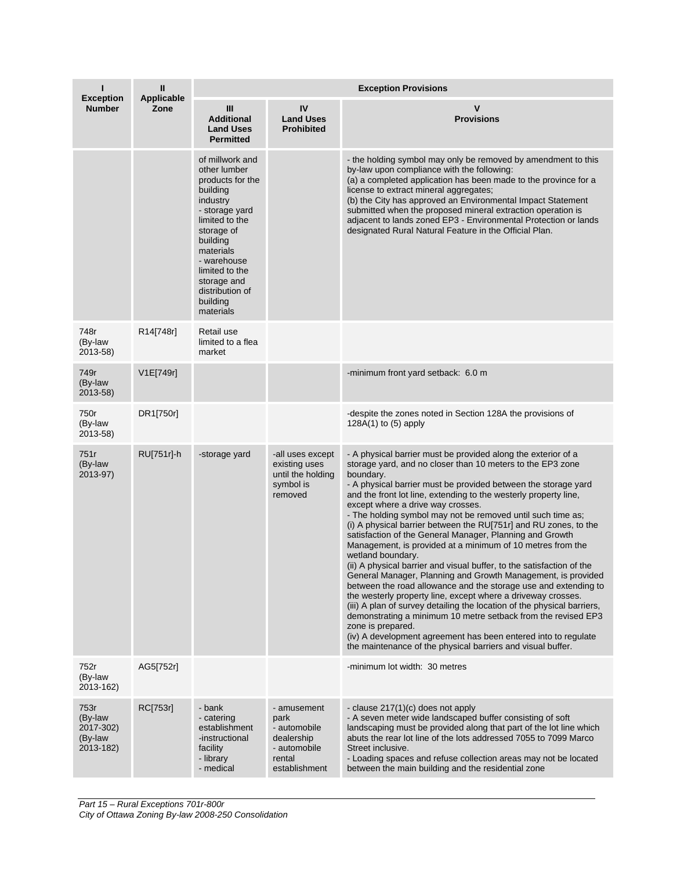| ı<br><b>Exception</b>                                | $\mathbf{I}$<br><b>Applicable</b> | <b>Exception Provisions</b>                                                                                                                                                                                                                        |                                                                                              |                                                                                                                                                                                                                                                                                                                                                                                                                                                                                                                                                                                                                                                                                                                                                                                                                                                                                                                                                                                                                                                                                                                                                                                     |  |
|------------------------------------------------------|-----------------------------------|----------------------------------------------------------------------------------------------------------------------------------------------------------------------------------------------------------------------------------------------------|----------------------------------------------------------------------------------------------|-------------------------------------------------------------------------------------------------------------------------------------------------------------------------------------------------------------------------------------------------------------------------------------------------------------------------------------------------------------------------------------------------------------------------------------------------------------------------------------------------------------------------------------------------------------------------------------------------------------------------------------------------------------------------------------------------------------------------------------------------------------------------------------------------------------------------------------------------------------------------------------------------------------------------------------------------------------------------------------------------------------------------------------------------------------------------------------------------------------------------------------------------------------------------------------|--|
| <b>Number</b>                                        | Zone                              | Ш<br><b>Additional</b><br><b>Land Uses</b><br><b>Permitted</b>                                                                                                                                                                                     | IV<br><b>Land Uses</b><br><b>Prohibited</b>                                                  | v<br><b>Provisions</b>                                                                                                                                                                                                                                                                                                                                                                                                                                                                                                                                                                                                                                                                                                                                                                                                                                                                                                                                                                                                                                                                                                                                                              |  |
|                                                      |                                   | of millwork and<br>other lumber<br>products for the<br>building<br>industry<br>- storage yard<br>limited to the<br>storage of<br>building<br>materials<br>- warehouse<br>limited to the<br>storage and<br>distribution of<br>building<br>materials |                                                                                              | - the holding symbol may only be removed by amendment to this<br>by-law upon compliance with the following:<br>(a) a completed application has been made to the province for a<br>license to extract mineral aggregates;<br>(b) the City has approved an Environmental Impact Statement<br>submitted when the proposed mineral extraction operation is<br>adjacent to lands zoned EP3 - Environmental Protection or lands<br>designated Rural Natural Feature in the Official Plan.                                                                                                                                                                                                                                                                                                                                                                                                                                                                                                                                                                                                                                                                                                 |  |
| 748r<br>(By-law<br>2013-58)                          | R14[748r]                         | Retail use<br>limited to a flea<br>market                                                                                                                                                                                                          |                                                                                              |                                                                                                                                                                                                                                                                                                                                                                                                                                                                                                                                                                                                                                                                                                                                                                                                                                                                                                                                                                                                                                                                                                                                                                                     |  |
| 749r<br>(By-law<br>2013-58)                          | V1E[749r]                         |                                                                                                                                                                                                                                                    |                                                                                              | -minimum front yard setback: 6.0 m                                                                                                                                                                                                                                                                                                                                                                                                                                                                                                                                                                                                                                                                                                                                                                                                                                                                                                                                                                                                                                                                                                                                                  |  |
| 750r<br>(By-law<br>2013-58)                          | DR1[750r]                         |                                                                                                                                                                                                                                                    |                                                                                              | -despite the zones noted in Section 128A the provisions of<br>128A(1) to (5) apply                                                                                                                                                                                                                                                                                                                                                                                                                                                                                                                                                                                                                                                                                                                                                                                                                                                                                                                                                                                                                                                                                                  |  |
| 751r<br>(By-law<br>2013-97)                          | RU[751r]-h                        | -storage yard                                                                                                                                                                                                                                      | -all uses except<br>existing uses<br>until the holding<br>symbol is<br>removed               | - A physical barrier must be provided along the exterior of a<br>storage yard, and no closer than 10 meters to the EP3 zone<br>boundary.<br>- A physical barrier must be provided between the storage yard<br>and the front lot line, extending to the westerly property line,<br>except where a drive way crosses.<br>- The holding symbol may not be removed until such time as;<br>(i) A physical barrier between the RU[751r] and RU zones, to the<br>satisfaction of the General Manager, Planning and Growth<br>Management, is provided at a minimum of 10 metres from the<br>wetland boundary.<br>(ii) A physical barrier and visual buffer, to the satisfaction of the<br>General Manager, Planning and Growth Management, is provided<br>between the road allowance and the storage use and extending to<br>the westerly property line, except where a driveway crosses.<br>(iii) A plan of survey detailing the location of the physical barriers,<br>demonstrating a minimum 10 metre setback from the revised EP3<br>zone is prepared.<br>(iv) A development agreement has been entered into to regulate<br>the maintenance of the physical barriers and visual buffer. |  |
| 752r<br>(By-law<br>2013-162)                         | AG5[752r]                         |                                                                                                                                                                                                                                                    |                                                                                              | -minimum lot width: 30 metres                                                                                                                                                                                                                                                                                                                                                                                                                                                                                                                                                                                                                                                                                                                                                                                                                                                                                                                                                                                                                                                                                                                                                       |  |
| 753r<br>(By-law<br>2017-302)<br>(By-law<br>2013-182) | RC[753r]                          | - bank<br>- catering<br>establishment<br>-instructional<br>facility<br>- library<br>- medical                                                                                                                                                      | - amusement<br>park<br>- automobile<br>dealership<br>- automobile<br>rental<br>establishment | - clause 217(1)(c) does not apply<br>- A seven meter wide landscaped buffer consisting of soft<br>landscaping must be provided along that part of the lot line which<br>abuts the rear lot line of the lots addressed 7055 to 7099 Marco<br>Street inclusive.<br>- Loading spaces and refuse collection areas may not be located<br>between the main building and the residential zone                                                                                                                                                                                                                                                                                                                                                                                                                                                                                                                                                                                                                                                                                                                                                                                              |  |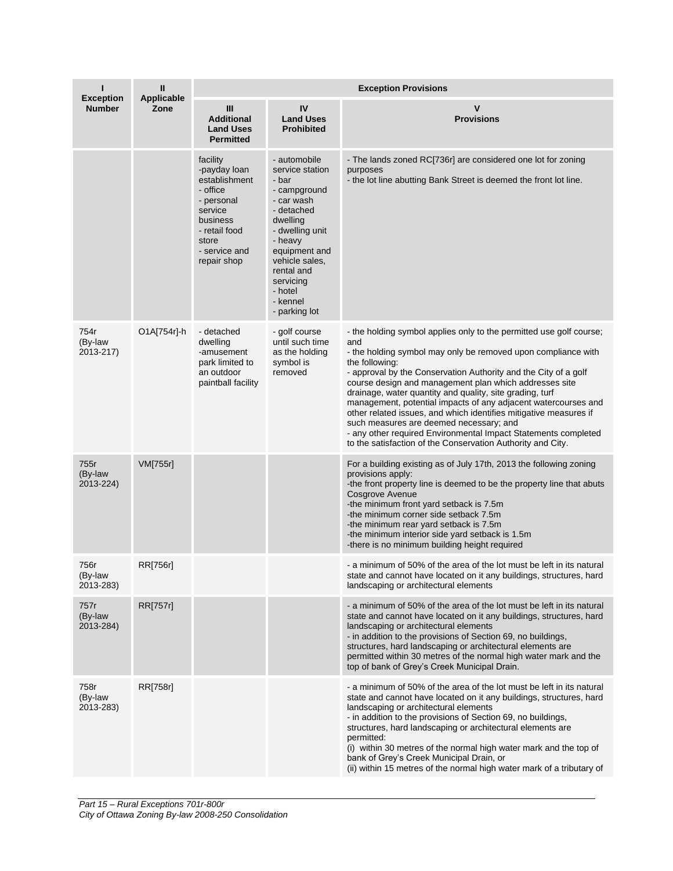|                                   | $\mathbf{II}$      | <b>Exception Provisions</b>                                                                                                                          |                                                                                                                                                                                                                                      |                                                                                                                                                                                                                                                                                                                                                                                                                                                                                                                                                                                                                                                                           |  |  |
|-----------------------------------|--------------------|------------------------------------------------------------------------------------------------------------------------------------------------------|--------------------------------------------------------------------------------------------------------------------------------------------------------------------------------------------------------------------------------------|---------------------------------------------------------------------------------------------------------------------------------------------------------------------------------------------------------------------------------------------------------------------------------------------------------------------------------------------------------------------------------------------------------------------------------------------------------------------------------------------------------------------------------------------------------------------------------------------------------------------------------------------------------------------------|--|--|
| <b>Exception</b><br><b>Number</b> | Applicable<br>Zone | Ш<br><b>Additional</b><br><b>Land Uses</b><br><b>Permitted</b>                                                                                       | IV<br><b>Land Uses</b><br><b>Prohibited</b>                                                                                                                                                                                          | $\mathbf v$<br><b>Provisions</b>                                                                                                                                                                                                                                                                                                                                                                                                                                                                                                                                                                                                                                          |  |  |
|                                   |                    | facility<br>-payday loan<br>establishment<br>- office<br>- personal<br>service<br>business<br>- retail food<br>store<br>- service and<br>repair shop | - automobile<br>service station<br>- bar<br>- campground<br>- car wash<br>- detached<br>dwelling<br>- dwelling unit<br>- heavy<br>equipment and<br>vehicle sales,<br>rental and<br>servicing<br>- hotel<br>- kennel<br>- parking lot | - The lands zoned RC[736r] are considered one lot for zoning<br>purposes<br>- the lot line abutting Bank Street is deemed the front lot line.                                                                                                                                                                                                                                                                                                                                                                                                                                                                                                                             |  |  |
| 754r<br>(By-law<br>2013-217)      | O1A[754r]-h        | - detached<br>dwelling<br>-amusement<br>park limited to<br>an outdoor<br>paintball facility                                                          | - golf course<br>until such time<br>as the holding<br>symbol is<br>removed                                                                                                                                                           | - the holding symbol applies only to the permitted use golf course;<br>and<br>- the holding symbol may only be removed upon compliance with<br>the following:<br>- approval by the Conservation Authority and the City of a golf<br>course design and management plan which addresses site<br>drainage, water quantity and quality, site grading, turf<br>management, potential impacts of any adjacent watercourses and<br>other related issues, and which identifies mitigative measures if<br>such measures are deemed necessary; and<br>- any other required Environmental Impact Statements completed<br>to the satisfaction of the Conservation Authority and City. |  |  |
| 755r<br>(By-law<br>2013-224)      | VM[755r]           |                                                                                                                                                      |                                                                                                                                                                                                                                      | For a building existing as of July 17th, 2013 the following zoning<br>provisions apply:<br>-the front property line is deemed to be the property line that abuts<br><b>Cosgrove Avenue</b><br>-the minimum front yard setback is 7.5m<br>-the minimum corner side setback 7.5m<br>-the minimum rear yard setback is 7.5m<br>-the minimum interior side yard setback is 1.5m<br>-there is no minimum building height required                                                                                                                                                                                                                                              |  |  |
| 756r<br>(By-law<br>2013-283)      | RR[756r]           |                                                                                                                                                      |                                                                                                                                                                                                                                      | - a minimum of 50% of the area of the lot must be left in its natural<br>state and cannot have located on it any buildings, structures, hard<br>landscaping or architectural elements                                                                                                                                                                                                                                                                                                                                                                                                                                                                                     |  |  |
| 757r<br>(By-law<br>2013-284)      | RR[757r]           |                                                                                                                                                      |                                                                                                                                                                                                                                      | - a minimum of 50% of the area of the lot must be left in its natural<br>state and cannot have located on it any buildings, structures, hard<br>landscaping or architectural elements<br>- in addition to the provisions of Section 69, no buildings,<br>structures, hard landscaping or architectural elements are<br>permitted within 30 metres of the normal high water mark and the<br>top of bank of Grey's Creek Municipal Drain.                                                                                                                                                                                                                                   |  |  |
| 758r<br>(By-law<br>2013-283)      | RR[758r]           |                                                                                                                                                      |                                                                                                                                                                                                                                      | - a minimum of 50% of the area of the lot must be left in its natural<br>state and cannot have located on it any buildings, structures, hard<br>landscaping or architectural elements<br>- in addition to the provisions of Section 69, no buildings,<br>structures, hard landscaping or architectural elements are<br>permitted:<br>(i) within 30 metres of the normal high water mark and the top of<br>bank of Grey's Creek Municipal Drain, or<br>(ii) within 15 metres of the normal high water mark of a tributary of                                                                                                                                               |  |  |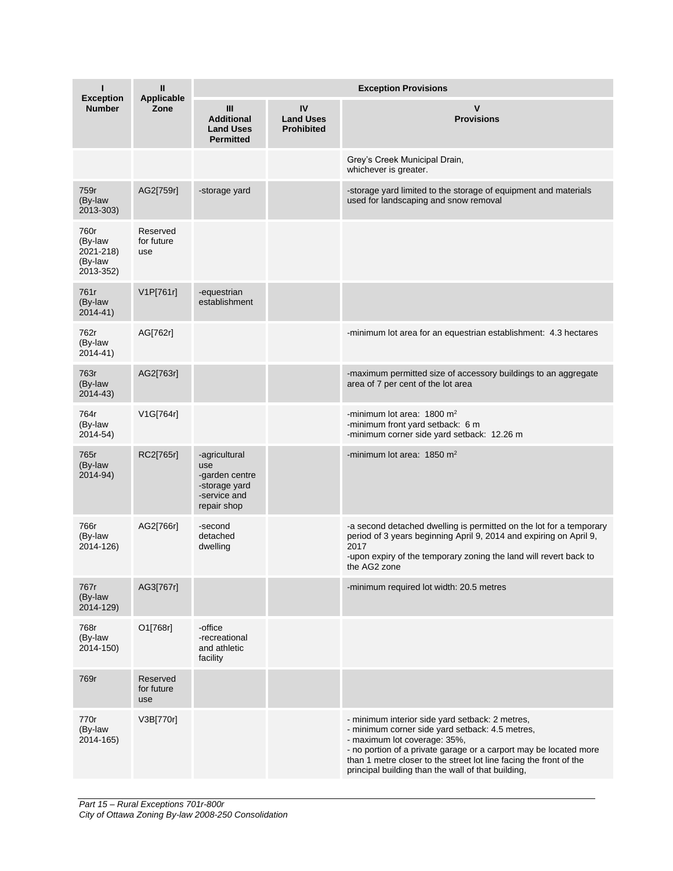| ı<br><b>Exception</b>                                | $\mathbf{I}$<br><b>Applicable</b> | <b>Exception Provisions</b>                                                            |                                             |                                                                                                                                                                                                                                                                                                                                     |  |  |
|------------------------------------------------------|-----------------------------------|----------------------------------------------------------------------------------------|---------------------------------------------|-------------------------------------------------------------------------------------------------------------------------------------------------------------------------------------------------------------------------------------------------------------------------------------------------------------------------------------|--|--|
| <b>Number</b>                                        | Zone                              | Ш<br><b>Additional</b><br><b>Land Uses</b><br><b>Permitted</b>                         | IV<br><b>Land Uses</b><br><b>Prohibited</b> | $\mathsf{v}$<br><b>Provisions</b>                                                                                                                                                                                                                                                                                                   |  |  |
|                                                      |                                   |                                                                                        |                                             | Grey's Creek Municipal Drain,<br>whichever is greater.                                                                                                                                                                                                                                                                              |  |  |
| 759r<br>(By-law<br>2013-303)                         | AG2[759r]                         | -storage yard                                                                          |                                             | -storage yard limited to the storage of equipment and materials<br>used for landscaping and snow removal                                                                                                                                                                                                                            |  |  |
| 760r<br>(By-law<br>2021-218)<br>(By-law<br>2013-352) | Reserved<br>for future<br>use     |                                                                                        |                                             |                                                                                                                                                                                                                                                                                                                                     |  |  |
| 761r<br>(By-law<br>$2014 - 41$                       | V1P[761r]                         | -equestrian<br>establishment                                                           |                                             |                                                                                                                                                                                                                                                                                                                                     |  |  |
| 762r<br>(By-law<br>2014-41)                          | AG[762r]                          |                                                                                        |                                             | -minimum lot area for an equestrian establishment: 4.3 hectares                                                                                                                                                                                                                                                                     |  |  |
| 763r<br>(By-law<br>$2014 - 43$                       | AG2[763r]                         |                                                                                        |                                             | -maximum permitted size of accessory buildings to an aggregate<br>area of 7 per cent of the lot area                                                                                                                                                                                                                                |  |  |
| 764r<br>(By-law<br>2014-54)                          | V1G[764r]                         |                                                                                        |                                             | -minimum lot area: $1800 \text{ m}^2$<br>-minimum front yard setback: 6 m<br>-minimum corner side yard setback: 12.26 m                                                                                                                                                                                                             |  |  |
| 765r<br>(By-law<br>2014-94)                          | RC2[765r]                         | -agricultural<br>use<br>-garden centre<br>-storage yard<br>-service and<br>repair shop |                                             | -minimum lot area: $1850 \text{ m}^2$                                                                                                                                                                                                                                                                                               |  |  |
| 766r<br>(By-law<br>2014-126)                         | AG2[766r]                         | -second<br>detached<br>dwelling                                                        |                                             | -a second detached dwelling is permitted on the lot for a temporary<br>period of 3 years beginning April 9, 2014 and expiring on April 9,<br>2017<br>-upon expiry of the temporary zoning the land will revert back to<br>the AG2 zone                                                                                              |  |  |
| 767r<br>(By-law<br>2014-129)                         | AG3[767r]                         |                                                                                        |                                             | -minimum required lot width: 20.5 metres                                                                                                                                                                                                                                                                                            |  |  |
| 768r<br>(By-law<br>2014-150)                         | O1[768r]                          | -office<br>-recreational<br>and athletic<br>facility                                   |                                             |                                                                                                                                                                                                                                                                                                                                     |  |  |
| 769r                                                 | Reserved<br>for future<br>use     |                                                                                        |                                             |                                                                                                                                                                                                                                                                                                                                     |  |  |
| 770r<br>(By-law<br>2014-165)                         | V3B[770r]                         |                                                                                        |                                             | - minimum interior side yard setback: 2 metres,<br>- minimum corner side yard setback: 4.5 metres,<br>- maximum lot coverage: 35%,<br>- no portion of a private garage or a carport may be located more<br>than 1 metre closer to the street lot line facing the front of the<br>principal building than the wall of that building, |  |  |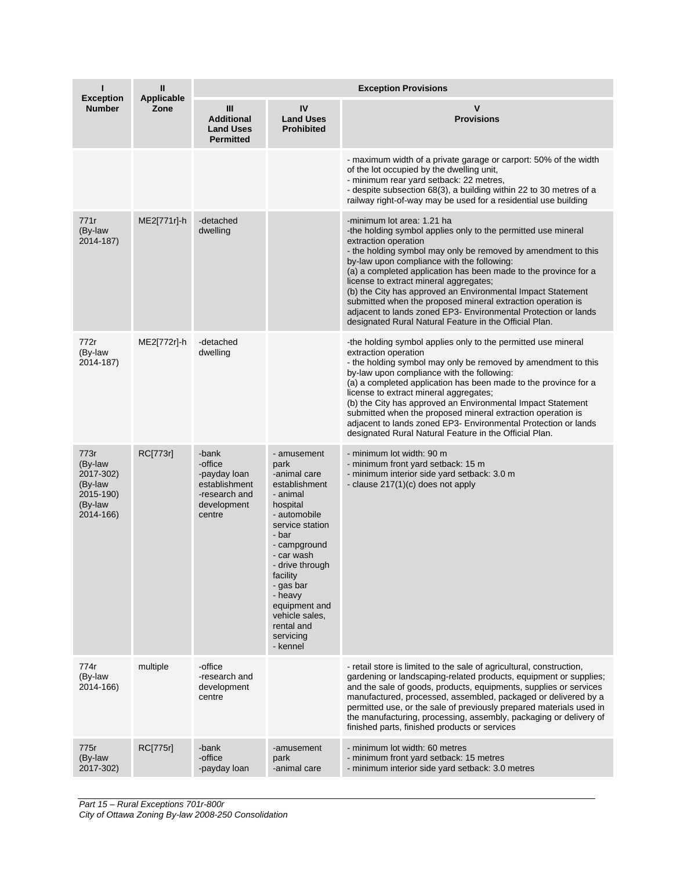| ı                                                                            | Ш<br><b>Applicable</b> | <b>Exception Provisions</b>                                                                 |                                                                                                                                                                                                                                                                                         |                                                                                                                                                                                                                                                                                                                                                                                                                                                                                                                                                                                                           |  |  |
|------------------------------------------------------------------------------|------------------------|---------------------------------------------------------------------------------------------|-----------------------------------------------------------------------------------------------------------------------------------------------------------------------------------------------------------------------------------------------------------------------------------------|-----------------------------------------------------------------------------------------------------------------------------------------------------------------------------------------------------------------------------------------------------------------------------------------------------------------------------------------------------------------------------------------------------------------------------------------------------------------------------------------------------------------------------------------------------------------------------------------------------------|--|--|
| <b>Exception</b><br><b>Number</b>                                            | Zone                   | Ш<br><b>Additional</b><br><b>Land Uses</b><br><b>Permitted</b>                              | IV<br><b>Land Uses</b><br><b>Prohibited</b>                                                                                                                                                                                                                                             | v<br><b>Provisions</b>                                                                                                                                                                                                                                                                                                                                                                                                                                                                                                                                                                                    |  |  |
|                                                                              |                        |                                                                                             |                                                                                                                                                                                                                                                                                         | - maximum width of a private garage or carport: 50% of the width<br>of the lot occupied by the dwelling unit,<br>- minimum rear yard setback: 22 metres,<br>- despite subsection 68(3), a building within 22 to 30 metres of a<br>railway right-of-way may be used for a residential use building                                                                                                                                                                                                                                                                                                         |  |  |
| 771r<br>(By-law<br>2014-187)                                                 | ME2[771r]-h            | -detached<br>dwelling                                                                       |                                                                                                                                                                                                                                                                                         | -minimum lot area: 1.21 ha<br>-the holding symbol applies only to the permitted use mineral<br>extraction operation<br>- the holding symbol may only be removed by amendment to this<br>by-law upon compliance with the following:<br>(a) a completed application has been made to the province for a<br>license to extract mineral aggregates;<br>(b) the City has approved an Environmental Impact Statement<br>submitted when the proposed mineral extraction operation is<br>adjacent to lands zoned EP3- Environmental Protection or lands<br>designated Rural Natural Feature in the Official Plan. |  |  |
| 772r<br>(By-law<br>2014-187)                                                 | ME2[772r]-h            | -detached<br>dwelling                                                                       |                                                                                                                                                                                                                                                                                         | -the holding symbol applies only to the permitted use mineral<br>extraction operation<br>- the holding symbol may only be removed by amendment to this<br>by-law upon compliance with the following:<br>(a) a completed application has been made to the province for a<br>license to extract mineral aggregates;<br>(b) the City has approved an Environmental Impact Statement<br>submitted when the proposed mineral extraction operation is<br>adjacent to lands zoned EP3- Environmental Protection or lands<br>designated Rural Natural Feature in the Official Plan.                               |  |  |
| 773r<br>(By-law<br>2017-302)<br>(By-law<br>2015-190)<br>(By-law<br>2014-166) | RC[773r]               | -bank<br>-office<br>-payday loan<br>establishment<br>-research and<br>development<br>centre | - amusement<br>park<br>-animal care<br>establishment<br>- animal<br>hospital<br>- automobile<br>service station<br>- bar<br>- campground<br>- car wash<br>- drive through<br>facility<br>- gas bar<br>- heavy<br>equipment and<br>vehicle sales.<br>rental and<br>servicing<br>- kennel | - minimum lot width: 90 m<br>- minimum front yard setback: 15 m<br>- minimum interior side yard setback: 3.0 m<br>- clause 217(1)(c) does not apply                                                                                                                                                                                                                                                                                                                                                                                                                                                       |  |  |
| 774r<br>(By-law<br>2014-166)                                                 | multiple               | -office<br>-research and<br>development<br>centre                                           |                                                                                                                                                                                                                                                                                         | - retail store is limited to the sale of agricultural, construction,<br>gardening or landscaping-related products, equipment or supplies;<br>and the sale of goods, products, equipments, supplies or services<br>manufactured, processed, assembled, packaged or delivered by a<br>permitted use, or the sale of previously prepared materials used in<br>the manufacturing, processing, assembly, packaging or delivery of<br>finished parts, finished products or services                                                                                                                             |  |  |
| 775r<br>(By-law<br>2017-302)                                                 | RC[775r]               | -bank<br>-office<br>-payday loan                                                            | -amusement<br>park<br>-animal care                                                                                                                                                                                                                                                      | - minimum lot width: 60 metres<br>- minimum front yard setback: 15 metres<br>- minimum interior side yard setback: 3.0 metres                                                                                                                                                                                                                                                                                                                                                                                                                                                                             |  |  |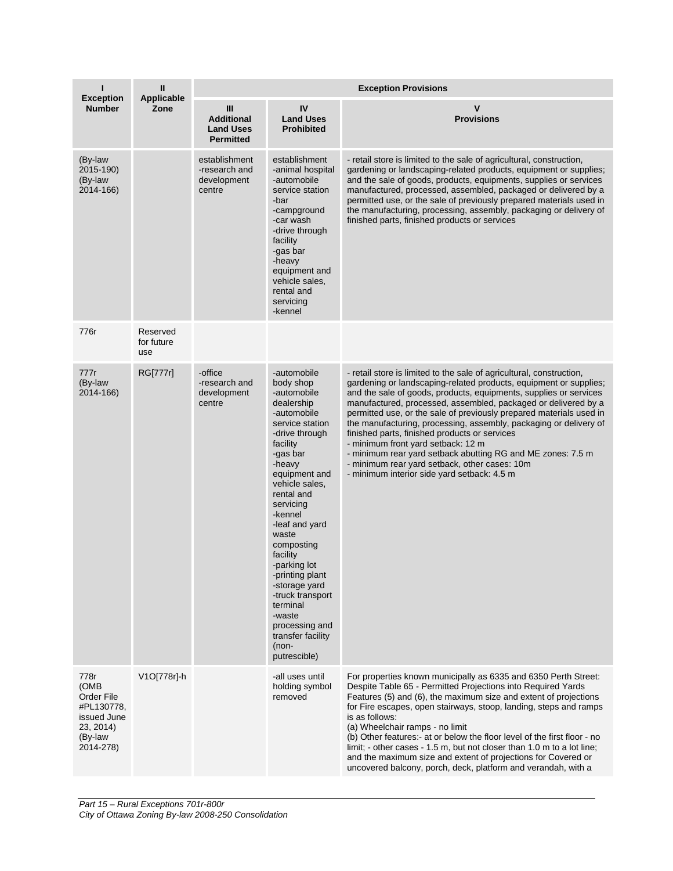| п                                                                                            | $\mathbf{I}$<br>Applicable    | <b>Exception Provisions</b>                                    |                                                                                                                                                                                                                                                                                                                                                                                                                                           |                                                                                                                                                                                                                                                                                                                                                                                                                                                                                                                                                                                                                                                                                    |  |  |
|----------------------------------------------------------------------------------------------|-------------------------------|----------------------------------------------------------------|-------------------------------------------------------------------------------------------------------------------------------------------------------------------------------------------------------------------------------------------------------------------------------------------------------------------------------------------------------------------------------------------------------------------------------------------|------------------------------------------------------------------------------------------------------------------------------------------------------------------------------------------------------------------------------------------------------------------------------------------------------------------------------------------------------------------------------------------------------------------------------------------------------------------------------------------------------------------------------------------------------------------------------------------------------------------------------------------------------------------------------------|--|--|
| <b>Exception</b><br><b>Number</b>                                                            | Zone                          | Ш<br><b>Additional</b><br><b>Land Uses</b><br><b>Permitted</b> | IV<br><b>Land Uses</b><br><b>Prohibited</b>                                                                                                                                                                                                                                                                                                                                                                                               | v<br><b>Provisions</b>                                                                                                                                                                                                                                                                                                                                                                                                                                                                                                                                                                                                                                                             |  |  |
| (By-law<br>2015-190)<br>(By-law<br>2014-166)                                                 |                               | establishment<br>-research and<br>development<br>centre        | establishment<br>-animal hospital<br>-automobile<br>service station<br>-bar<br>-campground<br>-car wash<br>-drive through<br>facility<br>-gas bar<br>-heavy<br>equipment and<br>vehicle sales,<br>rental and<br>servicing<br>-kennel                                                                                                                                                                                                      | - retail store is limited to the sale of agricultural, construction,<br>gardening or landscaping-related products, equipment or supplies;<br>and the sale of goods, products, equipments, supplies or services<br>manufactured, processed, assembled, packaged or delivered by a<br>permitted use, or the sale of previously prepared materials used in<br>the manufacturing, processing, assembly, packaging or delivery of<br>finished parts, finished products or services                                                                                                                                                                                                      |  |  |
| 776r                                                                                         | Reserved<br>for future<br>use |                                                                |                                                                                                                                                                                                                                                                                                                                                                                                                                           |                                                                                                                                                                                                                                                                                                                                                                                                                                                                                                                                                                                                                                                                                    |  |  |
| 777r<br>(By-law<br>2014-166)                                                                 | RG[777r]                      | -office<br>-research and<br>development<br>centre              | -automobile<br>body shop<br>-automobile<br>dealership<br>-automobile<br>service station<br>-drive through<br>facility<br>-gas bar<br>-heavy<br>equipment and<br>vehicle sales,<br>rental and<br>servicing<br>-kennel<br>-leaf and yard<br>waste<br>composting<br>facility<br>-parking lot<br>-printing plant<br>-storage yard<br>-truck transport<br>terminal<br>-waste<br>processing and<br>transfer facility<br>$(non-$<br>putrescible) | - retail store is limited to the sale of agricultural, construction,<br>gardening or landscaping-related products, equipment or supplies;<br>and the sale of goods, products, equipments, supplies or services<br>manufactured, processed, assembled, packaged or delivered by a<br>permitted use, or the sale of previously prepared materials used in<br>the manufacturing, processing, assembly, packaging or delivery of<br>finished parts, finished products or services<br>- minimum front yard setback: 12 m<br>- minimum rear yard setback abutting RG and ME zones: 7.5 m<br>- minimum rear yard setback, other cases: 10m<br>- minimum interior side yard setback: 4.5 m |  |  |
| 778r<br>(OMB<br>Order File<br>#PL130778,<br>issued June<br>23, 2014)<br>(By-law<br>2014-278) | V1O[778r]-h                   |                                                                | -all uses until<br>holding symbol<br>removed                                                                                                                                                                                                                                                                                                                                                                                              | For properties known municipally as 6335 and 6350 Perth Street:<br>Despite Table 65 - Permitted Projections into Required Yards<br>Features (5) and (6), the maximum size and extent of projections<br>for Fire escapes, open stairways, stoop, landing, steps and ramps<br>is as follows:<br>(a) Wheelchair ramps - no limit<br>(b) Other features:- at or below the floor level of the first floor - no<br>limit; - other cases - 1.5 m, but not closer than 1.0 m to a lot line;<br>and the maximum size and extent of projections for Covered or<br>uncovered balcony, porch, deck, platform and verandah, with a                                                              |  |  |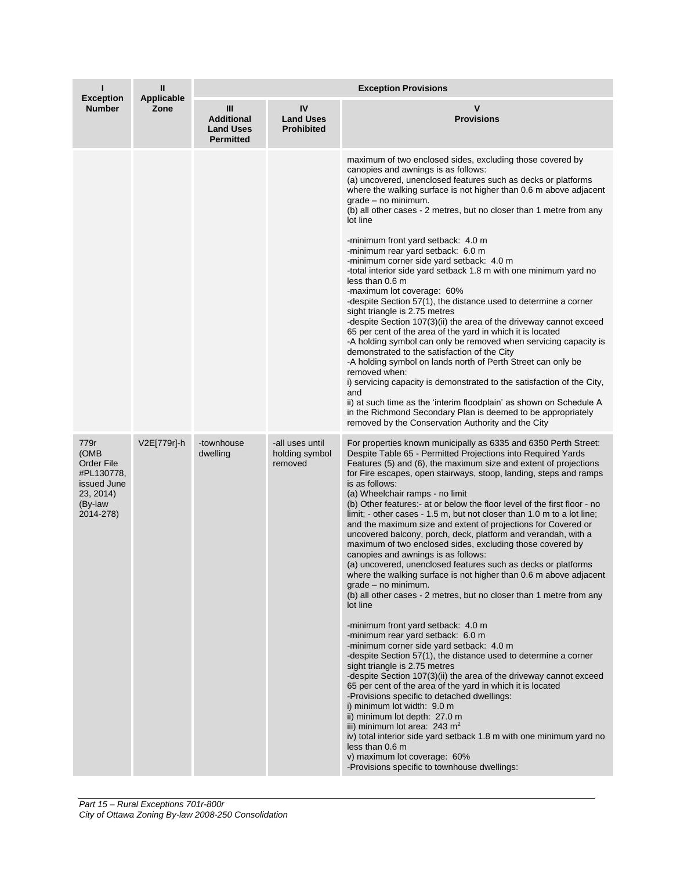| ı<br><b>Exception</b><br><b>Number</b>                                                              | Ш<br>Applicable<br>Zone | <b>Exception Provisions</b>                                    |                                              |                                                                                                                                                                                                                                                                                                                                                                                                                                                                                                                                                                                                                                                                                                                                                                                                                                                                                                                                                                                                                                                                                                                                                                                                                                                                                                                                                                                                                                                                                                                                                                                                                                                                               |  |  |
|-----------------------------------------------------------------------------------------------------|-------------------------|----------------------------------------------------------------|----------------------------------------------|-------------------------------------------------------------------------------------------------------------------------------------------------------------------------------------------------------------------------------------------------------------------------------------------------------------------------------------------------------------------------------------------------------------------------------------------------------------------------------------------------------------------------------------------------------------------------------------------------------------------------------------------------------------------------------------------------------------------------------------------------------------------------------------------------------------------------------------------------------------------------------------------------------------------------------------------------------------------------------------------------------------------------------------------------------------------------------------------------------------------------------------------------------------------------------------------------------------------------------------------------------------------------------------------------------------------------------------------------------------------------------------------------------------------------------------------------------------------------------------------------------------------------------------------------------------------------------------------------------------------------------------------------------------------------------|--|--|
|                                                                                                     |                         | Ш<br><b>Additional</b><br><b>Land Uses</b><br><b>Permitted</b> | IV<br><b>Land Uses</b><br><b>Prohibited</b>  | v<br><b>Provisions</b>                                                                                                                                                                                                                                                                                                                                                                                                                                                                                                                                                                                                                                                                                                                                                                                                                                                                                                                                                                                                                                                                                                                                                                                                                                                                                                                                                                                                                                                                                                                                                                                                                                                        |  |  |
|                                                                                                     |                         |                                                                |                                              | maximum of two enclosed sides, excluding those covered by<br>canopies and awnings is as follows:<br>(a) uncovered, unenclosed features such as decks or platforms<br>where the walking surface is not higher than 0.6 m above adjacent<br>$grade - no minimum.$<br>(b) all other cases - 2 metres, but no closer than 1 metre from any<br>lot line<br>-minimum front yard setback: 4.0 m<br>-minimum rear yard setback: 6.0 m<br>-minimum corner side yard setback: 4.0 m<br>-total interior side yard setback 1.8 m with one minimum yard no<br>less than 0.6 m<br>-maximum lot coverage: 60%<br>-despite Section 57(1), the distance used to determine a corner<br>sight triangle is 2.75 metres<br>-despite Section 107(3)(ii) the area of the driveway cannot exceed<br>65 per cent of the area of the yard in which it is located<br>-A holding symbol can only be removed when servicing capacity is<br>demonstrated to the satisfaction of the City<br>-A holding symbol on lands north of Perth Street can only be<br>removed when:<br>i) servicing capacity is demonstrated to the satisfaction of the City,<br>and<br>ii) at such time as the 'interim floodplain' as shown on Schedule A<br>in the Richmond Secondary Plan is deemed to be appropriately<br>removed by the Conservation Authority and the City                                                                                                                                                                                                                                                                                                                                                     |  |  |
| 779r<br>(OMB<br><b>Order File</b><br>#PL130778,<br>issued June<br>23, 2014)<br>(By-law<br>2014-278) | V2E[779r]-h             | -townhouse<br>dwelling                                         | -all uses until<br>holding symbol<br>removed | For properties known municipally as 6335 and 6350 Perth Street:<br>Despite Table 65 - Permitted Projections into Required Yards<br>Features (5) and (6), the maximum size and extent of projections<br>for Fire escapes, open stairways, stoop, landing, steps and ramps<br>is as follows:<br>(a) Wheelchair ramps - no limit<br>(b) Other features:- at or below the floor level of the first floor - no<br>limit; - other cases - 1.5 m, but not closer than 1.0 m to a lot line;<br>and the maximum size and extent of projections for Covered or<br>uncovered balcony, porch, deck, platform and verandah, with a<br>maximum of two enclosed sides, excluding those covered by<br>canopies and awnings is as follows:<br>(a) uncovered, unenclosed features such as decks or platforms<br>where the walking surface is not higher than 0.6 m above adjacent<br>grade – no minimum.<br>(b) all other cases - 2 metres, but no closer than 1 metre from any<br>lot line<br>-minimum front yard setback: 4.0 m<br>-minimum rear yard setback: 6.0 m<br>-minimum corner side yard setback: 4.0 m<br>-despite Section 57(1), the distance used to determine a corner<br>sight triangle is 2.75 metres<br>-despite Section 107(3)(ii) the area of the driveway cannot exceed<br>65 per cent of the area of the yard in which it is located<br>-Provisions specific to detached dwellings:<br>i) minimum lot width: 9.0 m<br>ii) minimum lot depth: 27.0 m<br>iii) minimum lot area: $243 \text{ m}^2$<br>iv) total interior side yard setback 1.8 m with one minimum yard no<br>less than 0.6 m<br>v) maximum lot coverage: 60%<br>-Provisions specific to townhouse dwellings: |  |  |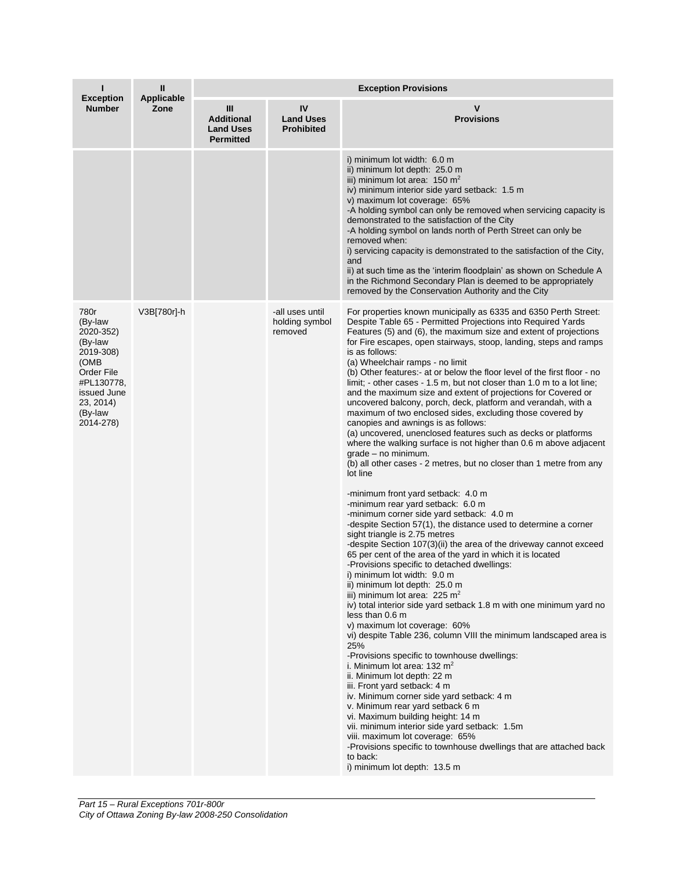| ı                                                                                                                                            | Ш<br>Applicable<br>Zone | <b>Exception Provisions</b>                                    |                                              |                                                                                                                                                                                                                                                                                                                                                                                                                                                                                                                                                                                                                                                                                                                                                                                                                                                                                                                                                                                                                                                                                                                                                                                                                                                                                                                                                                                                                                                                                                                                                                                                                                                                                                                                                                                                                                                                                                                                                                                                                                                                                                                                                      |  |
|----------------------------------------------------------------------------------------------------------------------------------------------|-------------------------|----------------------------------------------------------------|----------------------------------------------|------------------------------------------------------------------------------------------------------------------------------------------------------------------------------------------------------------------------------------------------------------------------------------------------------------------------------------------------------------------------------------------------------------------------------------------------------------------------------------------------------------------------------------------------------------------------------------------------------------------------------------------------------------------------------------------------------------------------------------------------------------------------------------------------------------------------------------------------------------------------------------------------------------------------------------------------------------------------------------------------------------------------------------------------------------------------------------------------------------------------------------------------------------------------------------------------------------------------------------------------------------------------------------------------------------------------------------------------------------------------------------------------------------------------------------------------------------------------------------------------------------------------------------------------------------------------------------------------------------------------------------------------------------------------------------------------------------------------------------------------------------------------------------------------------------------------------------------------------------------------------------------------------------------------------------------------------------------------------------------------------------------------------------------------------------------------------------------------------------------------------------------------------|--|
| <b>Exception</b><br><b>Number</b>                                                                                                            |                         | Ш<br><b>Additional</b><br><b>Land Uses</b><br><b>Permitted</b> | IV<br><b>Land Uses</b><br><b>Prohibited</b>  | v<br><b>Provisions</b>                                                                                                                                                                                                                                                                                                                                                                                                                                                                                                                                                                                                                                                                                                                                                                                                                                                                                                                                                                                                                                                                                                                                                                                                                                                                                                                                                                                                                                                                                                                                                                                                                                                                                                                                                                                                                                                                                                                                                                                                                                                                                                                               |  |
|                                                                                                                                              |                         |                                                                |                                              | i) minimum lot width: 6.0 m<br>ii) minimum lot depth: 25.0 m<br>iii) minimum lot area: $150 \text{ m}^2$<br>iv) minimum interior side yard setback: 1.5 m<br>v) maximum lot coverage: 65%<br>-A holding symbol can only be removed when servicing capacity is<br>demonstrated to the satisfaction of the City<br>-A holding symbol on lands north of Perth Street can only be<br>removed when:<br>i) servicing capacity is demonstrated to the satisfaction of the City,<br>and<br>ii) at such time as the 'interim floodplain' as shown on Schedule A<br>in the Richmond Secondary Plan is deemed to be appropriately<br>removed by the Conservation Authority and the City                                                                                                                                                                                                                                                                                                                                                                                                                                                                                                                                                                                                                                                                                                                                                                                                                                                                                                                                                                                                                                                                                                                                                                                                                                                                                                                                                                                                                                                                         |  |
| 780r<br>(By-law<br>2020-352)<br>(By-law<br>2019-308)<br>(OMB<br>Order File<br>#PL130778,<br>issued June<br>23, 2014)<br>(By-law<br>2014-278) | V3B[780r]-h             |                                                                | -all uses until<br>holding symbol<br>removed | For properties known municipally as 6335 and 6350 Perth Street:<br>Despite Table 65 - Permitted Projections into Required Yards<br>Features (5) and (6), the maximum size and extent of projections<br>for Fire escapes, open stairways, stoop, landing, steps and ramps<br>is as follows:<br>(a) Wheelchair ramps - no limit<br>(b) Other features:- at or below the floor level of the first floor - no<br>limit; - other cases - 1.5 m, but not closer than 1.0 m to a lot line;<br>and the maximum size and extent of projections for Covered or<br>uncovered balcony, porch, deck, platform and verandah, with a<br>maximum of two enclosed sides, excluding those covered by<br>canopies and awnings is as follows:<br>(a) uncovered, unenclosed features such as decks or platforms<br>where the walking surface is not higher than 0.6 m above adjacent<br>$grade - no minimum.$<br>(b) all other cases - 2 metres, but no closer than 1 metre from any<br>lot line<br>-minimum front yard setback: 4.0 m<br>-minimum rear yard setback: 6.0 m<br>-minimum corner side yard setback: 4.0 m<br>-despite Section 57(1), the distance used to determine a corner<br>sight triangle is 2.75 metres<br>-despite Section 107(3)(ii) the area of the driveway cannot exceed<br>65 per cent of the area of the yard in which it is located<br>-Provisions specific to detached dwellings:<br>i) minimum lot width: 9.0 m<br>ii) minimum lot depth: 25.0 m<br>iii) minimum lot area: $225 \text{ m}^2$<br>iv) total interior side yard setback 1.8 m with one minimum yard no<br>less than 0.6 m<br>v) maximum lot coverage: 60%<br>vi) despite Table 236, column VIII the minimum landscaped area is<br>25%<br>-Provisions specific to townhouse dwellings:<br>i. Minimum lot area: $132 \text{ m}^2$<br>ii. Minimum lot depth: 22 m<br>iii. Front yard setback: 4 m<br>iv. Minimum corner side yard setback: 4 m<br>v. Minimum rear yard setback 6 m<br>vi. Maximum building height: 14 m<br>vii. minimum interior side yard setback: 1.5m<br>viii. maximum lot coverage: 65%<br>-Provisions specific to townhouse dwellings that are attached back |  |
|                                                                                                                                              |                         |                                                                |                                              | to back:<br>i) minimum lot depth: 13.5 m                                                                                                                                                                                                                                                                                                                                                                                                                                                                                                                                                                                                                                                                                                                                                                                                                                                                                                                                                                                                                                                                                                                                                                                                                                                                                                                                                                                                                                                                                                                                                                                                                                                                                                                                                                                                                                                                                                                                                                                                                                                                                                             |  |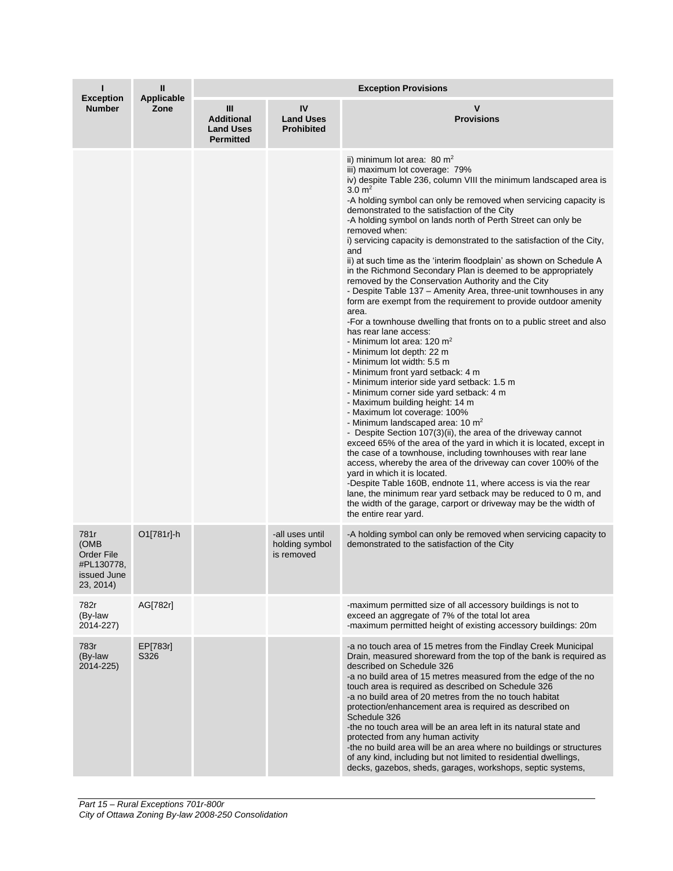| <b>Exception</b><br><b>Number</b>                                           | Ш<br><b>Applicable</b><br>Zone | <b>Exception Provisions</b>                                    |                                                 |                                                                                                                                                                                                                                                                                                                                                                                                                                                                                                                                                                                                                                                                                                                                                                                                                                                                                                                                                                                                                                                                                                                                                                                                                                                                                                                                                                                                                                                                                                                                                                                                                                                                                                                                                                                                |  |
|-----------------------------------------------------------------------------|--------------------------------|----------------------------------------------------------------|-------------------------------------------------|------------------------------------------------------------------------------------------------------------------------------------------------------------------------------------------------------------------------------------------------------------------------------------------------------------------------------------------------------------------------------------------------------------------------------------------------------------------------------------------------------------------------------------------------------------------------------------------------------------------------------------------------------------------------------------------------------------------------------------------------------------------------------------------------------------------------------------------------------------------------------------------------------------------------------------------------------------------------------------------------------------------------------------------------------------------------------------------------------------------------------------------------------------------------------------------------------------------------------------------------------------------------------------------------------------------------------------------------------------------------------------------------------------------------------------------------------------------------------------------------------------------------------------------------------------------------------------------------------------------------------------------------------------------------------------------------------------------------------------------------------------------------------------------------|--|
|                                                                             |                                | Ш<br><b>Additional</b><br><b>Land Uses</b><br><b>Permitted</b> | IV<br><b>Land Uses</b><br><b>Prohibited</b>     | v<br><b>Provisions</b>                                                                                                                                                                                                                                                                                                                                                                                                                                                                                                                                                                                                                                                                                                                                                                                                                                                                                                                                                                                                                                                                                                                                                                                                                                                                                                                                                                                                                                                                                                                                                                                                                                                                                                                                                                         |  |
|                                                                             |                                |                                                                |                                                 | ii) minimum lot area: $80 \text{ m}^2$<br>iii) maximum lot coverage: 79%<br>iv) despite Table 236, column VIII the minimum landscaped area is<br>$3.0 \text{ m}^2$<br>-A holding symbol can only be removed when servicing capacity is<br>demonstrated to the satisfaction of the City<br>-A holding symbol on lands north of Perth Street can only be<br>removed when:<br>i) servicing capacity is demonstrated to the satisfaction of the City,<br>and<br>ii) at such time as the 'interim floodplain' as shown on Schedule A<br>in the Richmond Secondary Plan is deemed to be appropriately<br>removed by the Conservation Authority and the City<br>- Despite Table 137 - Amenity Area, three-unit townhouses in any<br>form are exempt from the requirement to provide outdoor amenity<br>area.<br>-For a townhouse dwelling that fronts on to a public street and also<br>has rear lane access:<br>- Minimum lot area: 120 $m2$<br>- Minimum lot depth: 22 m<br>- Minimum lot width: 5.5 m<br>- Minimum front yard setback: 4 m<br>- Minimum interior side yard setback: 1.5 m<br>- Minimum corner side yard setback: 4 m<br>- Maximum building height: 14 m<br>- Maximum lot coverage: 100%<br>- Minimum landscaped area: 10 m <sup>2</sup><br>- Despite Section 107(3)(ii), the area of the driveway cannot<br>exceed 65% of the area of the yard in which it is located, except in<br>the case of a townhouse, including townhouses with rear lane<br>access, whereby the area of the driveway can cover 100% of the<br>yard in which it is located.<br>-Despite Table 160B, endnote 11, where access is via the rear<br>lane, the minimum rear yard setback may be reduced to 0 m, and<br>the width of the garage, carport or driveway may be the width of<br>the entire rear yard. |  |
| 781r<br>(OMB<br><b>Order File</b><br>#PL130778,<br>issued June<br>23, 2014) | O1[781r]-h                     |                                                                | -all uses until<br>holding symbol<br>is removed | -A holding symbol can only be removed when servicing capacity to<br>demonstrated to the satisfaction of the City                                                                                                                                                                                                                                                                                                                                                                                                                                                                                                                                                                                                                                                                                                                                                                                                                                                                                                                                                                                                                                                                                                                                                                                                                                                                                                                                                                                                                                                                                                                                                                                                                                                                               |  |
| 782r<br>(By-law<br>2014-227)                                                | AG[782r]                       |                                                                |                                                 | -maximum permitted size of all accessory buildings is not to<br>exceed an aggregate of 7% of the total lot area<br>-maximum permitted height of existing accessory buildings: 20m                                                                                                                                                                                                                                                                                                                                                                                                                                                                                                                                                                                                                                                                                                                                                                                                                                                                                                                                                                                                                                                                                                                                                                                                                                                                                                                                                                                                                                                                                                                                                                                                              |  |
| 783r<br>(By-law<br>2014-225)                                                | EP[783r]<br>S326               |                                                                |                                                 | -a no touch area of 15 metres from the Findlay Creek Municipal<br>Drain, measured shoreward from the top of the bank is required as<br>described on Schedule 326<br>-a no build area of 15 metres measured from the edge of the no<br>touch area is required as described on Schedule 326<br>-a no build area of 20 metres from the no touch habitat<br>protection/enhancement area is required as described on<br>Schedule 326<br>-the no touch area will be an area left in its natural state and<br>protected from any human activity<br>-the no build area will be an area where no buildings or structures<br>of any kind, including but not limited to residential dwellings,<br>decks, gazebos, sheds, garages, workshops, septic systems,                                                                                                                                                                                                                                                                                                                                                                                                                                                                                                                                                                                                                                                                                                                                                                                                                                                                                                                                                                                                                                              |  |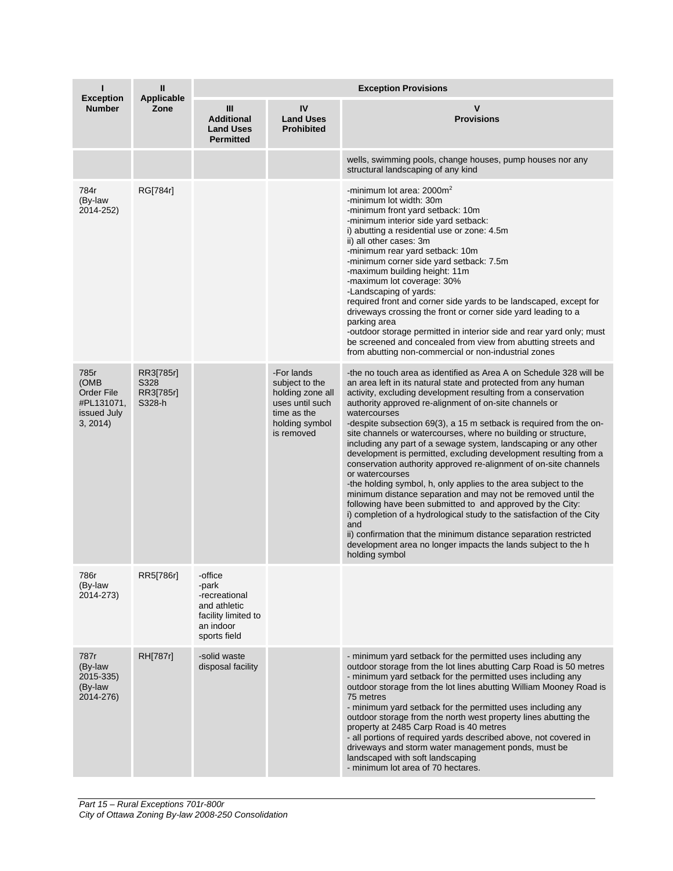| <b>Exception</b><br><b>Number</b>                                  | Ш<br><b>Applicable</b><br>Zone           | <b>Exception Provisions</b>                                                                           |                                                                                                                    |                                                                                                                                                                                                                                                                                                                                                                                                                                                                                                                                                                                                                                                                                                                                                                                                                                                                                                                                                                                                                                                                                               |  |
|--------------------------------------------------------------------|------------------------------------------|-------------------------------------------------------------------------------------------------------|--------------------------------------------------------------------------------------------------------------------|-----------------------------------------------------------------------------------------------------------------------------------------------------------------------------------------------------------------------------------------------------------------------------------------------------------------------------------------------------------------------------------------------------------------------------------------------------------------------------------------------------------------------------------------------------------------------------------------------------------------------------------------------------------------------------------------------------------------------------------------------------------------------------------------------------------------------------------------------------------------------------------------------------------------------------------------------------------------------------------------------------------------------------------------------------------------------------------------------|--|
|                                                                    |                                          | Ш<br><b>Additional</b><br><b>Land Uses</b><br><b>Permitted</b>                                        | IV<br><b>Land Uses</b><br><b>Prohibited</b>                                                                        | v<br><b>Provisions</b>                                                                                                                                                                                                                                                                                                                                                                                                                                                                                                                                                                                                                                                                                                                                                                                                                                                                                                                                                                                                                                                                        |  |
|                                                                    |                                          |                                                                                                       |                                                                                                                    | wells, swimming pools, change houses, pump houses nor any<br>structural landscaping of any kind                                                                                                                                                                                                                                                                                                                                                                                                                                                                                                                                                                                                                                                                                                                                                                                                                                                                                                                                                                                               |  |
| 784r<br>(By-law<br>2014-252)                                       | RG[784r]                                 |                                                                                                       |                                                                                                                    | -minimum lot area: $2000m^2$<br>-minimum lot width: 30m<br>-minimum front yard setback: 10m<br>-minimum interior side yard setback:<br>i) abutting a residential use or zone: 4.5m<br>ii) all other cases: 3m<br>-minimum rear yard setback: 10m<br>-minimum corner side yard setback: 7.5m<br>-maximum building height: 11m<br>-maximum lot coverage: 30%<br>-Landscaping of yards:<br>required front and corner side yards to be landscaped, except for<br>driveways crossing the front or corner side yard leading to a<br>parking area<br>-outdoor storage permitted in interior side and rear yard only; must<br>be screened and concealed from view from abutting streets and<br>from abutting non-commercial or non-industrial zones                                                                                                                                                                                                                                                                                                                                                   |  |
| 785r<br>(OMB<br>Order File<br>#PL131071,<br>issued July<br>3, 2014 | RR3[785r]<br>S328<br>RR3[785r]<br>S328-h |                                                                                                       | -For lands<br>subject to the<br>holding zone all<br>uses until such<br>time as the<br>holding symbol<br>is removed | -the no touch area as identified as Area A on Schedule 328 will be<br>an area left in its natural state and protected from any human<br>activity, excluding development resulting from a conservation<br>authority approved re-alignment of on-site channels or<br>watercourses<br>-despite subsection 69(3), a 15 m setback is required from the on-<br>site channels or watercourses, where no building or structure,<br>including any part of a sewage system, landscaping or any other<br>development is permitted, excluding development resulting from a<br>conservation authority approved re-alignment of on-site channels<br>or watercourses<br>-the holding symbol, h, only applies to the area subject to the<br>minimum distance separation and may not be removed until the<br>following have been submitted to and approved by the City:<br>i) completion of a hydrological study to the satisfaction of the City<br>and<br>ii) confirmation that the minimum distance separation restricted<br>development area no longer impacts the lands subject to the h<br>holding symbol |  |
| 786r<br>(By-law<br>2014-273)                                       | RR5[786r]                                | -office<br>-park<br>-recreational<br>and athletic<br>facility limited to<br>an indoor<br>sports field |                                                                                                                    |                                                                                                                                                                                                                                                                                                                                                                                                                                                                                                                                                                                                                                                                                                                                                                                                                                                                                                                                                                                                                                                                                               |  |
| 787r<br>(By-law<br>2015-335)<br>(By-law<br>2014-276)               | RH[787r]                                 | -solid waste<br>disposal facility                                                                     |                                                                                                                    | - minimum yard setback for the permitted uses including any<br>outdoor storage from the lot lines abutting Carp Road is 50 metres<br>- minimum yard setback for the permitted uses including any<br>outdoor storage from the lot lines abutting William Mooney Road is<br>75 metres<br>- minimum yard setback for the permitted uses including any<br>outdoor storage from the north west property lines abutting the<br>property at 2485 Carp Road is 40 metres<br>- all portions of required yards described above, not covered in<br>driveways and storm water management ponds, must be<br>landscaped with soft landscaping<br>- minimum lot area of 70 hectares.                                                                                                                                                                                                                                                                                                                                                                                                                         |  |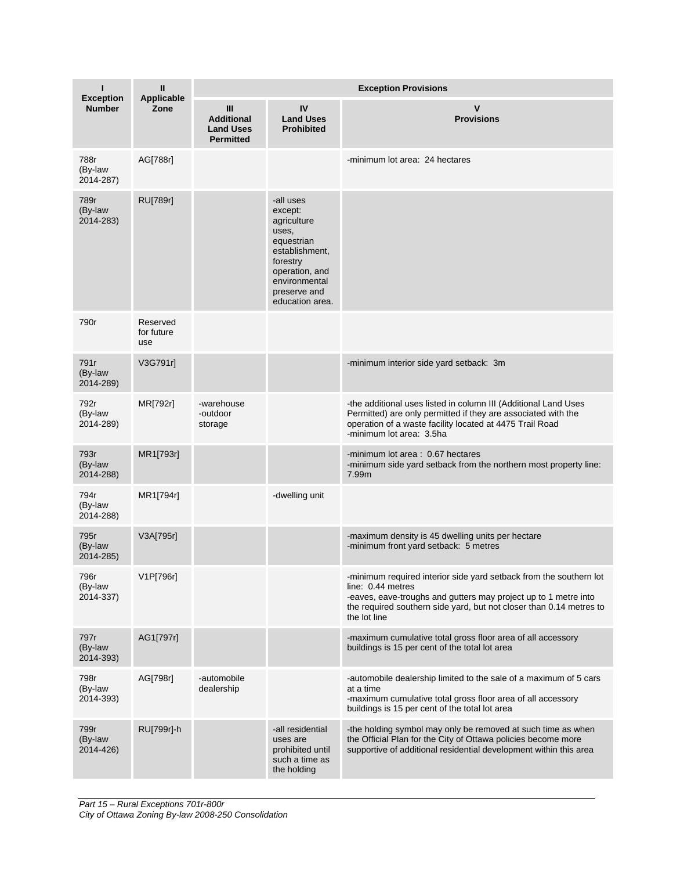| п<br><b>Exception</b><br><b>Number</b> | $\mathbf{u}$<br><b>Applicable</b><br>Zone | <b>Exception Provisions</b>                                      |                                                                                                                                                                |                                                                                                                                                                                                                                                   |  |
|----------------------------------------|-------------------------------------------|------------------------------------------------------------------|----------------------------------------------------------------------------------------------------------------------------------------------------------------|---------------------------------------------------------------------------------------------------------------------------------------------------------------------------------------------------------------------------------------------------|--|
|                                        |                                           | III<br><b>Additional</b><br><b>Land Uses</b><br><b>Permitted</b> | IV<br><b>Land Uses</b><br><b>Prohibited</b>                                                                                                                    | v<br><b>Provisions</b>                                                                                                                                                                                                                            |  |
| 788r<br>(By-law<br>2014-287)           | AG[788r]                                  |                                                                  |                                                                                                                                                                | -minimum lot area: 24 hectares                                                                                                                                                                                                                    |  |
| 789r<br>(By-law<br>2014-283)           | RU[789r]                                  |                                                                  | -all uses<br>except:<br>agriculture<br>uses,<br>equestrian<br>establishment,<br>forestry<br>operation, and<br>environmental<br>preserve and<br>education area. |                                                                                                                                                                                                                                                   |  |
| 790r                                   | Reserved<br>for future<br>use             |                                                                  |                                                                                                                                                                |                                                                                                                                                                                                                                                   |  |
| 791r<br>(By-law<br>2014-289)           | V3G791r]                                  |                                                                  |                                                                                                                                                                | -minimum interior side yard setback: 3m                                                                                                                                                                                                           |  |
| 792r<br>(By-law<br>2014-289)           | MR[792r]                                  | -warehouse<br>-outdoor<br>storage                                |                                                                                                                                                                | -the additional uses listed in column III (Additional Land Uses<br>Permitted) are only permitted if they are associated with the<br>operation of a waste facility located at 4475 Trail Road<br>-minimum lot area: 3.5ha                          |  |
| 793r<br>(By-law<br>2014-288)           | MR1[793r]                                 |                                                                  |                                                                                                                                                                | -minimum lot area: 0.67 hectares<br>-minimum side yard setback from the northern most property line:<br>7.99m                                                                                                                                     |  |
| 794r<br>(By-law<br>2014-288)           | MR1[794r]                                 |                                                                  | -dwelling unit                                                                                                                                                 |                                                                                                                                                                                                                                                   |  |
| 795r<br>(By-law<br>2014-285)           | V3A[795r]                                 |                                                                  |                                                                                                                                                                | -maximum density is 45 dwelling units per hectare<br>-minimum front yard setback: 5 metres                                                                                                                                                        |  |
| 796r<br>(By-law<br>2014-337)           | V1P[796r]                                 |                                                                  |                                                                                                                                                                | -minimum required interior side yard setback from the southern lot<br>line: 0.44 metres<br>-eaves, eave-troughs and gutters may project up to 1 metre into<br>the required southern side yard, but not closer than 0.14 metres to<br>the lot line |  |
| 797r<br>(By-law<br>2014-393)           | AG1[797r]                                 |                                                                  |                                                                                                                                                                | -maximum cumulative total gross floor area of all accessory<br>buildings is 15 per cent of the total lot area                                                                                                                                     |  |
| 798r<br>(By-law<br>2014-393)           | AG[798r]                                  | -automobile<br>dealership                                        |                                                                                                                                                                | -automobile dealership limited to the sale of a maximum of 5 cars<br>at a time<br>-maximum cumulative total gross floor area of all accessory<br>buildings is 15 per cent of the total lot area                                                   |  |
| 799r<br>(By-law<br>2014-426)           | RU[799r]-h                                |                                                                  | -all residential<br>uses are<br>prohibited until<br>such a time as<br>the holding                                                                              | -the holding symbol may only be removed at such time as when<br>the Official Plan for the City of Ottawa policies become more<br>supportive of additional residential development within this area                                                |  |